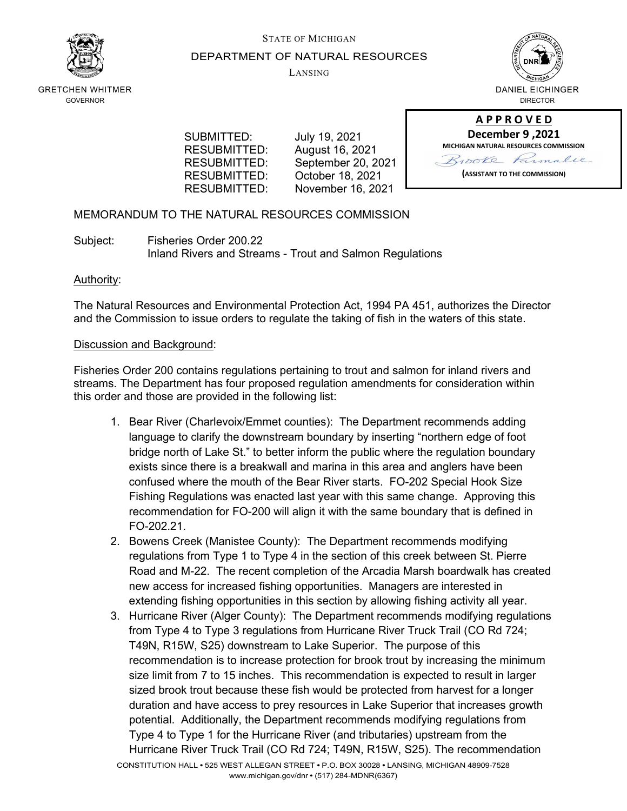

# STATE OF MICHIGAN DEPARTMENT OF NATURAL RESOURCES

LANSING



GRETCHEN WHITMER GOVERNOR

> SUBMITTED: July 19, 2021 RESUBMITTED: August 16, 2021<br>RESUBMITTED: September 20, 2

September 20, 2021 RESUBMITTED: October 18, 2021 RESUBMITTED: November 16, 2021



# MEMORANDUM TO THE NATURAL RESOURCES COMMISSION

Subject: Fisheries Order 200.22 Inland Rivers and Streams - Trout and Salmon Regulations

# Authority:

The Natural Resources and Environmental Protection Act, 1994 PA 451, authorizes the Director and the Commission to issue orders to regulate the taking of fish in the waters of this state.

# Discussion and Background:

Fisheries Order 200 contains regulations pertaining to trout and salmon for inland rivers and streams. The Department has four proposed regulation amendments for consideration within this order and those are provided in the following list:

- 1. Bear River (Charlevoix/Emmet counties): The Department recommends adding language to clarify the downstream boundary by inserting "northern edge of foot bridge north of Lake St." to better inform the public where the regulation boundary exists since there is a breakwall and marina in this area and anglers have been confused where the mouth of the Bear River starts. FO-202 Special Hook Size Fishing Regulations was enacted last year with this same change. Approving this recommendation for FO-200 will align it with the same boundary that is defined in FO-202.21.
- 2. Bowens Creek (Manistee County): The Department recommends modifying regulations from Type 1 to Type 4 in the section of this creek between St. Pierre Road and M-22. The recent completion of the Arcadia Marsh boardwalk has created new access for increased fishing opportunities. Managers are interested in extending fishing opportunities in this section by allowing fishing activity all year.
- 3. Hurricane River (Alger County): The Department recommends modifying regulations from Type 4 to Type 3 regulations from Hurricane River Truck Trail (CO Rd 724; T49N, R15W, S25) downstream to Lake Superior. The purpose of this recommendation is to increase protection for brook trout by increasing the minimum size limit from 7 to 15 inches. This recommendation is expected to result in larger sized brook trout because these fish would be protected from harvest for a longer duration and have access to prey resources in Lake Superior that increases growth potential. Additionally, the Department recommends modifying regulations from Type 4 to Type 1 for the Hurricane River (and tributaries) upstream from the Hurricane River Truck Trail (CO Rd 724; T49N, R15W, S25). The recommendation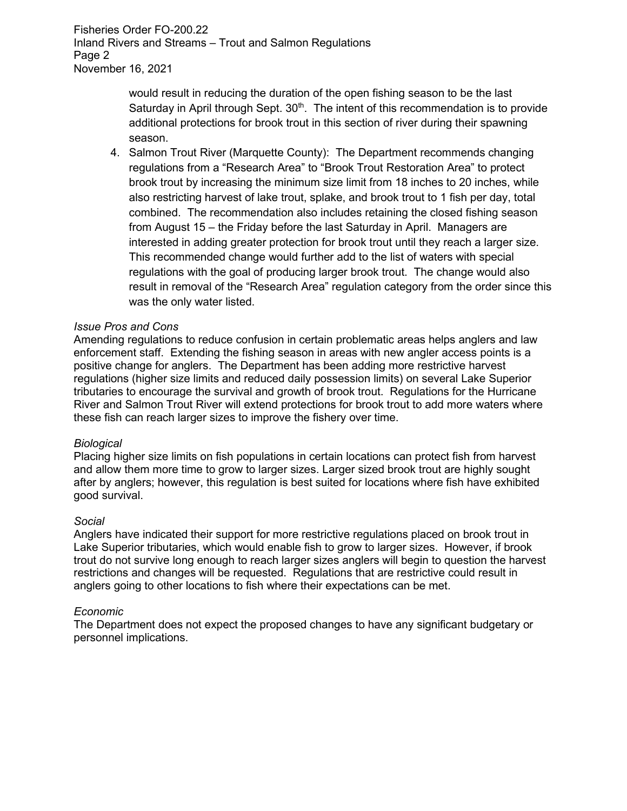Fisheries Order FO-200.22 Inland Rivers and Streams – Trout and Salmon Regulations Page 2 November 16, 2021

> would result in reducing the duration of the open fishing season to be the last Saturday in April through Sept.  $30<sup>th</sup>$ . The intent of this recommendation is to provide additional protections for brook trout in this section of river during their spawning season.

4. Salmon Trout River (Marquette County): The Department recommends changing regulations from a "Research Area" to "Brook Trout Restoration Area" to protect brook trout by increasing the minimum size limit from 18 inches to 20 inches, while also restricting harvest of lake trout, splake, and brook trout to 1 fish per day, total combined. The recommendation also includes retaining the closed fishing season from August 15 – the Friday before the last Saturday in April. Managers are interested in adding greater protection for brook trout until they reach a larger size. This recommended change would further add to the list of waters with special regulations with the goal of producing larger brook trout. The change would also result in removal of the "Research Area" regulation category from the order since this was the only water listed.

## *Issue Pros and Cons*

Amending regulations to reduce confusion in certain problematic areas helps anglers and law enforcement staff. Extending the fishing season in areas with new angler access points is a positive change for anglers. The Department has been adding more restrictive harvest regulations (higher size limits and reduced daily possession limits) on several Lake Superior tributaries to encourage the survival and growth of brook trout. Regulations for the Hurricane River and Salmon Trout River will extend protections for brook trout to add more waters where these fish can reach larger sizes to improve the fishery over time.

## *Biological*

Placing higher size limits on fish populations in certain locations can protect fish from harvest and allow them more time to grow to larger sizes. Larger sized brook trout are highly sought after by anglers; however, this regulation is best suited for locations where fish have exhibited good survival.

## *Social*

Anglers have indicated their support for more restrictive regulations placed on brook trout in Lake Superior tributaries, which would enable fish to grow to larger sizes. However, if brook trout do not survive long enough to reach larger sizes anglers will begin to question the harvest restrictions and changes will be requested. Regulations that are restrictive could result in anglers going to other locations to fish where their expectations can be met.

#### *Economic*

The Department does not expect the proposed changes to have any significant budgetary or personnel implications.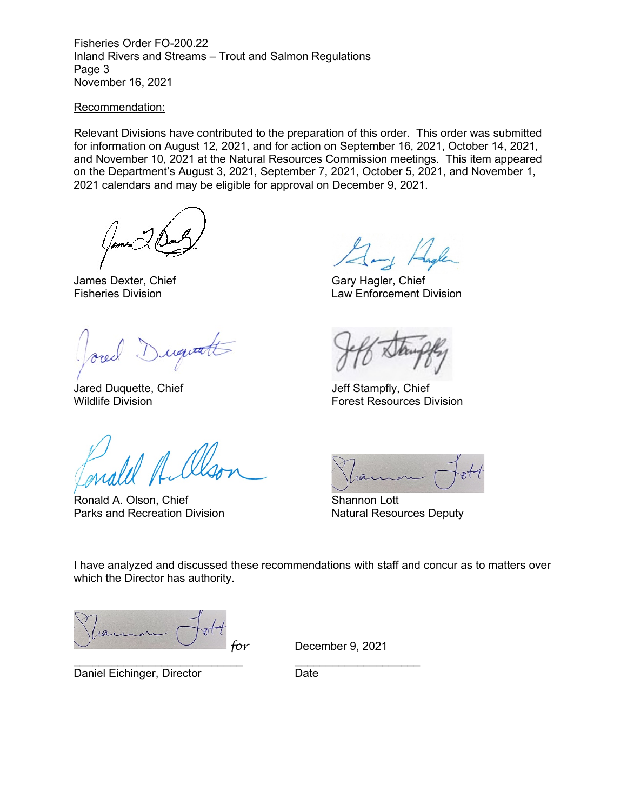Fisheries Order FO-200.22 Inland Rivers and Streams – Trout and Salmon Regulations Page 3 November 16, 2021

#### Recommendation:

Relevant Divisions have contributed to the preparation of this order. This order was submitted for information on August 12, 2021, and for action on September 16, 2021, October 14, 2021, and November 10, 2021 at the Natural Resources Commission meetings. This item appeared on the Department's August 3, 2021, September 7, 2021, October 5, 2021, and November 1, 2021 calendars and may be eligible for approval on December 9, 2021.

James Dexter, Chief Gary Hagler, Chief Gary Hagler, Chief Eisheries Division

Duquatt

Jared Duquette, Chief Jeff Stampfly, Chief

Ronald A. Olson, Chief Shannon Lott Parks and Recreation Division Natural Resources Deputy

Law Enforcement Division

**Forest Resources Division** 



I have analyzed and discussed these recommendations with staff and concur as to matters over which the Director has authority.

*for* December 9, 2021

Daniel Eichinger, Director **Daniel Example 2018** 

\_\_\_\_\_\_\_\_\_\_\_\_\_\_\_\_\_\_\_\_\_\_\_\_\_\_\_ \_\_\_\_\_\_\_\_\_\_\_\_\_\_\_\_\_\_\_\_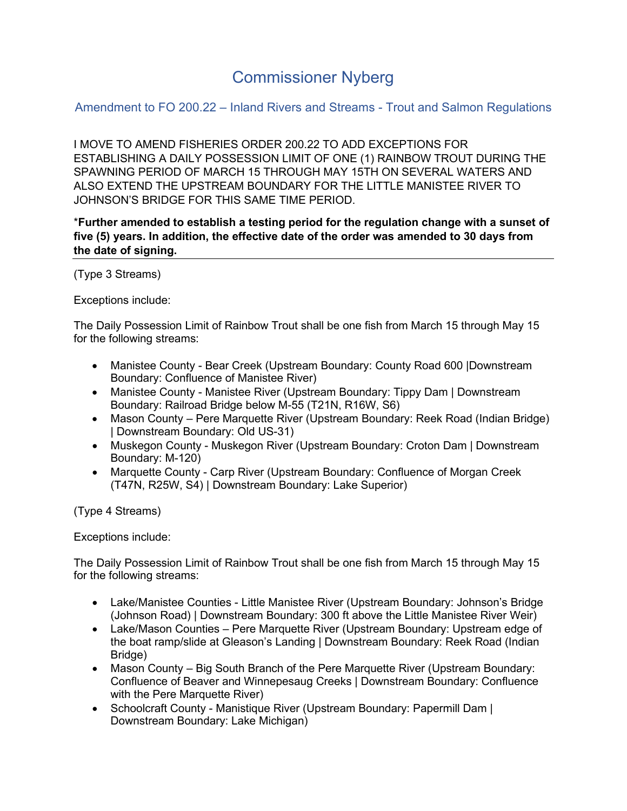# Commissioner Nyberg

Amendment to FO 200.22 – Inland Rivers and Streams - Trout and Salmon Regulations

I MOVE TO AMEND FISHERIES ORDER 200.22 TO ADD EXCEPTIONS FOR ESTABLISHING A DAILY POSSESSION LIMIT OF ONE (1) RAINBOW TROUT DURING THE SPAWNING PERIOD OF MARCH 15 THROUGH MAY 15TH ON SEVERAL WATERS AND ALSO EXTEND THE UPSTREAM BOUNDARY FOR THE LITTLE MANISTEE RIVER TO JOHNSON'S BRIDGE FOR THIS SAME TIME PERIOD.

\***Further amended to establish a testing period for the regulation change with a sunset of five (5) years. In addition, the effective date of the order was amended to 30 days from the date of signing.**

(Type 3 Streams)

Exceptions include:

The Daily Possession Limit of Rainbow Trout shall be one fish from March 15 through May 15 for the following streams:

- Manistee County Bear Creek (Upstream Boundary: County Road 600 |Downstream Boundary: Confluence of Manistee River)
- Manistee County Manistee River (Upstream Boundary: Tippy Dam | Downstream Boundary: Railroad Bridge below M-55 (T21N, R16W, S6)
- Mason County Pere Marquette River (Upstream Boundary: Reek Road (Indian Bridge) | Downstream Boundary: Old US-31)
- Muskegon County Muskegon River (Upstream Boundary: Croton Dam | Downstream Boundary: M-120)
- Marquette County Carp River (Upstream Boundary: Confluence of Morgan Creek (T47N, R25W, S4) | Downstream Boundary: Lake Superior)

(Type 4 Streams)

Exceptions include:

The Daily Possession Limit of Rainbow Trout shall be one fish from March 15 through May 15 for the following streams:

- Lake/Manistee Counties Little Manistee River (Upstream Boundary: Johnson's Bridge (Johnson Road) | Downstream Boundary: 300 ft above the Little Manistee River Weir)
- Lake/Mason Counties Pere Marquette River (Upstream Boundary: Upstream edge of the boat ramp/slide at Gleason's Landing | Downstream Boundary: Reek Road (Indian Bridge)
- Mason County Big South Branch of the Pere Marquette River (Upstream Boundary: Confluence of Beaver and Winnepesaug Creeks | Downstream Boundary: Confluence with the Pere Marquette River)
- Schoolcraft County Manistique River (Upstream Boundary: Papermill Dam | Downstream Boundary: Lake Michigan)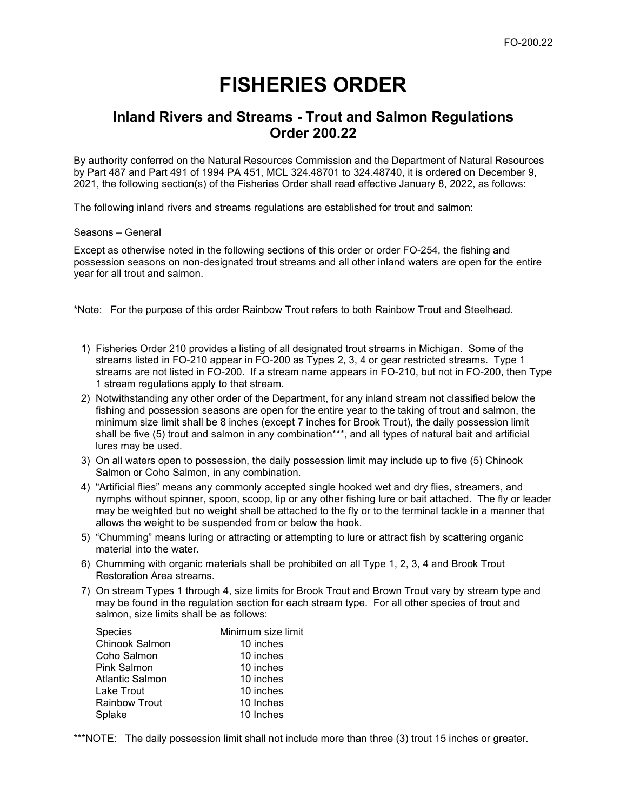# **FISHERIES ORDER**

# **Inland Rivers and Streams - Trout and Salmon Regulations Order 200.22**

By authority conferred on the Natural Resources Commission and the Department of Natural Resources by Part 487 and Part 491 of 1994 PA 451, MCL 324.48701 to 324.48740, it is ordered on December 9, 2021, the following section(s) of the Fisheries Order shall read effective January 8, 2022, as follows:

The following inland rivers and streams regulations are established for trout and salmon:

Seasons – General

Except as otherwise noted in the following sections of this order or order FO-254, the fishing and possession seasons on non-designated trout streams and all other inland waters are open for the entire year for all trout and salmon.

\*Note: For the purpose of this order Rainbow Trout refers to both Rainbow Trout and Steelhead.

- 1) Fisheries Order 210 provides a listing of all designated trout streams in Michigan. Some of the streams listed in FO-210 appear in FO-200 as Types 2, 3, 4 or gear restricted streams. Type 1 streams are not listed in FO-200. If a stream name appears in FO-210, but not in FO-200, then Type 1 stream regulations apply to that stream.
- 2) Notwithstanding any other order of the Department, for any inland stream not classified below the fishing and possession seasons are open for the entire year to the taking of trout and salmon, the minimum size limit shall be 8 inches (except 7 inches for Brook Trout), the daily possession limit shall be five (5) trout and salmon in any combination\*\*\*, and all types of natural bait and artificial lures may be used.
- 3) On all waters open to possession, the daily possession limit may include up to five (5) Chinook Salmon or Coho Salmon, in any combination.
- 4) "Artificial flies" means any commonly accepted single hooked wet and dry flies, streamers, and nymphs without spinner, spoon, scoop, lip or any other fishing lure or bait attached. The fly or leader may be weighted but no weight shall be attached to the fly or to the terminal tackle in a manner that allows the weight to be suspended from or below the hook.
- 5) "Chumming" means luring or attracting or attempting to lure or attract fish by scattering organic material into the water.
- 6) Chumming with organic materials shall be prohibited on all Type 1, 2, 3, 4 and Brook Trout Restoration Area streams.
- 7) On stream Types 1 through 4, size limits for Brook Trout and Brown Trout vary by stream type and may be found in the regulation section for each stream type. For all other species of trout and salmon, size limits shall be as follows:

| <b>Species</b>        | Minimum size limit |
|-----------------------|--------------------|
| <b>Chinook Salmon</b> | 10 inches          |
| Coho Salmon           | 10 inches          |
| Pink Salmon           | 10 inches          |
| Atlantic Salmon       | 10 inches          |
| Lake Trout            | 10 inches          |
| <b>Rainbow Trout</b>  | 10 Inches          |
| Splake                | 10 Inches          |

\*\*\*NOTE: The daily possession limit shall not include more than three (3) trout 15 inches or greater.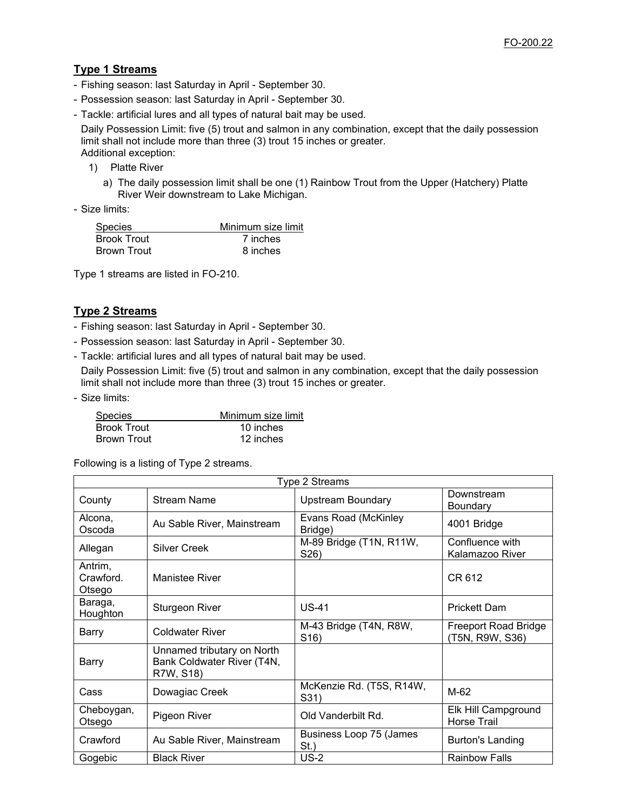# **Type 1 Streams**

- Fishing season: last Saturday in April September 30.
- Possession season: last Saturday in April September 30.
- Tackle: artificial lures and all types of natural bait may be used.

Daily Possession Limit: five (5) trout and salmon in any combination, except that the daily possession limit shall not include more than three (3) trout 15 inches or greater. Additional exception:

- 1) Platte River
	- a) The daily possession limit shall be one (1) Rainbow Trout from the Upper (Hatchery) Platte River Weir downstream to Lake Michigan.
- Size limits:

| <b>Species</b>     | Minimum size limit |
|--------------------|--------------------|
| <b>Brook Trout</b> | 7 inches           |
| Brown Trout        | 8 inches           |

Type 1 streams are listed in FO-210.

# **Type 2 Streams**

- Fishing season: last Saturday in April September 30.
- Possession season: last Saturday in April September 30.
- Tackle: artificial lures and all types of natural bait may be used.

Daily Possession Limit: five (5) trout and salmon in any combination, except that the daily possession limit shall not include more than three (3) trout 15 inches or greater.

- Size limits:

| <b>Species</b>     | Minimum size limit |
|--------------------|--------------------|
| <b>Brook Trout</b> | 10 inches          |
| Brown Trout        | 12 inches          |

Following is a listing of Type 2 streams.

| Type 2 Streams                 |                                                                       |                                             |                                                |
|--------------------------------|-----------------------------------------------------------------------|---------------------------------------------|------------------------------------------------|
| County                         | <b>Stream Name</b>                                                    | <b>Upstream Boundary</b>                    | Downstream<br>Boundary                         |
| Alcona,<br>Oscoda              | Au Sable River, Mainstream                                            | Evans Road (McKinley<br>Bridge)             | 4001 Bridge                                    |
| Allegan                        | <b>Silver Creek</b>                                                   | M-89 Bridge (T1N, R11W,<br>S26)             | Confluence with<br>Kalamazoo River             |
| Antrim,<br>Crawford.<br>Otsego | <b>Manistee River</b>                                                 |                                             | CR 612                                         |
| Baraga,<br>Houghton            | <b>Sturgeon River</b>                                                 | <b>US-41</b>                                | <b>Prickett Dam</b>                            |
| Barry                          | <b>Coldwater River</b>                                                | M-43 Bridge (T4N, R8W,<br>S <sub>16</sub> ) | <b>Freeport Road Bridge</b><br>(T5N, R9W, S36) |
| Barry                          | Unnamed tributary on North<br>Bank Coldwater River (T4N,<br>R7W, S18) |                                             |                                                |
| Cass                           | Dowagiac Creek                                                        | McKenzie Rd. (T5S, R14W,<br>S31)            | M-62                                           |
| Cheboygan,<br>Otsego           | Pigeon River                                                          | Old Vanderbilt Rd.                          | Elk Hill Campground<br><b>Horse Trail</b>      |
| Crawford                       | Au Sable River, Mainstream                                            | Business Loop 75 (James<br>St.)             | <b>Burton's Landing</b>                        |
| Gogebic                        | <b>Black River</b>                                                    | <b>US-2</b>                                 | <b>Rainbow Falls</b>                           |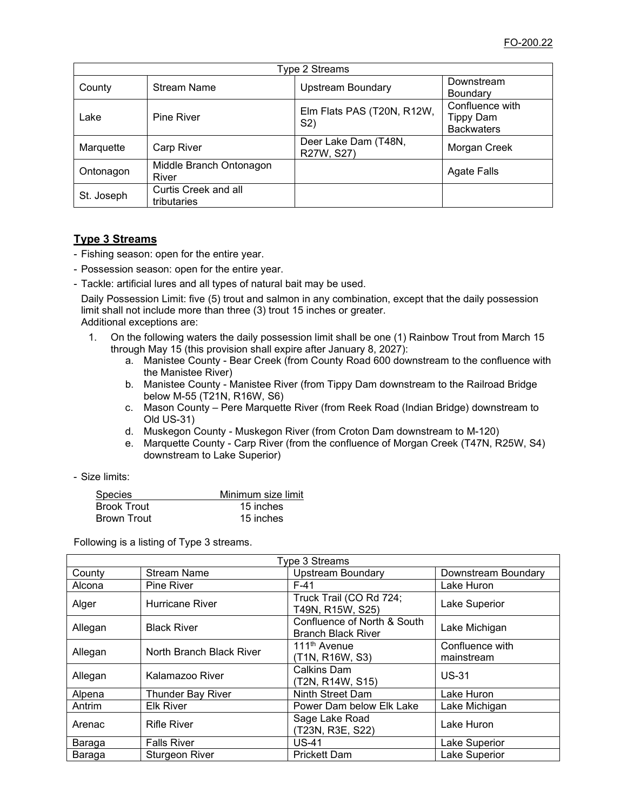| Type 2 Streams |                                     |                                              |                                                   |
|----------------|-------------------------------------|----------------------------------------------|---------------------------------------------------|
| County         | <b>Stream Name</b>                  | <b>Upstream Boundary</b>                     | Downstream<br>Boundary                            |
| Lake           | Pine River                          | Elm Flats PAS (T20N, R12W,<br>S <sub>2</sub> | Confluence with<br>Tippy Dam<br><b>Backwaters</b> |
| Marquette      | <b>Carp River</b>                   | Deer Lake Dam (T48N,<br>R27W, S27)           | Morgan Creek                                      |
| Ontonagon      | Middle Branch Ontonagon<br>River    |                                              | <b>Agate Falls</b>                                |
| St. Joseph     | Curtis Creek and all<br>tributaries |                                              |                                                   |

# **Type 3 Streams**

- Fishing season: open for the entire year.
- Possession season: open for the entire year.
- Tackle: artificial lures and all types of natural bait may be used.

Daily Possession Limit: five (5) trout and salmon in any combination, except that the daily possession limit shall not include more than three (3) trout 15 inches or greater. Additional exceptions are:

- 1. On the following waters the daily possession limit shall be one (1) Rainbow Trout from March 15 through May 15 (this provision shall expire after January 8, 2027):
	- a. Manistee County Bear Creek (from County Road 600 downstream to the confluence with the Manistee River)
	- b. Manistee County Manistee River (from Tippy Dam downstream to the Railroad Bridge below M-55 (T21N, R16W, S6)
	- c. Mason County Pere Marquette River (from Reek Road (Indian Bridge) downstream to Old US-31)
	- d. Muskegon County Muskegon River (from Croton Dam downstream to M-120)
	- e. Marquette County Carp River (from the confluence of Morgan Creek (T47N, R25W, S4) downstream to Lake Superior)
- Size limits:

| <b>Species</b>     | Minimum size limit |
|--------------------|--------------------|
| <b>Brook Trout</b> | 15 inches          |
| Brown Trout        | 15 inches          |

Following is a listing of Type 3 streams.

| Type 3 Streams |                          |                                                          |                               |
|----------------|--------------------------|----------------------------------------------------------|-------------------------------|
| County         | <b>Stream Name</b>       | <b>Upstream Boundary</b>                                 | Downstream Boundary           |
| Alcona         | <b>Pine River</b>        | $F-41$                                                   | Lake Huron                    |
| Alger          | Hurricane River          | Truck Trail (CO Rd 724;<br>T49N, R15W, S25)              | Lake Superior                 |
| Allegan        | <b>Black River</b>       | Confluence of North & South<br><b>Branch Black River</b> | Lake Michigan                 |
| Allegan        | North Branch Black River | 111 <sup>th</sup> Avenue<br>(T1N, R16W, S3)              | Confluence with<br>mainstream |
| Allegan        | Kalamazoo River          | Calkins Dam<br>(T2N, R14W, S15)                          | $US-31$                       |
| Alpena         | <b>Thunder Bay River</b> | Ninth Street Dam                                         | Lake Huron                    |
| Antrim         | <b>Elk River</b>         | Power Dam below Elk Lake                                 | Lake Michigan                 |
| Arenac         | <b>Rifle River</b>       | Sage Lake Road<br>(T23N, R3E, S22)                       | Lake Huron                    |
| Baraga         | <b>Falls River</b>       | <b>US-41</b>                                             | Lake Superior                 |
| Baraga         | <b>Sturgeon River</b>    | <b>Prickett Dam</b>                                      | Lake Superior                 |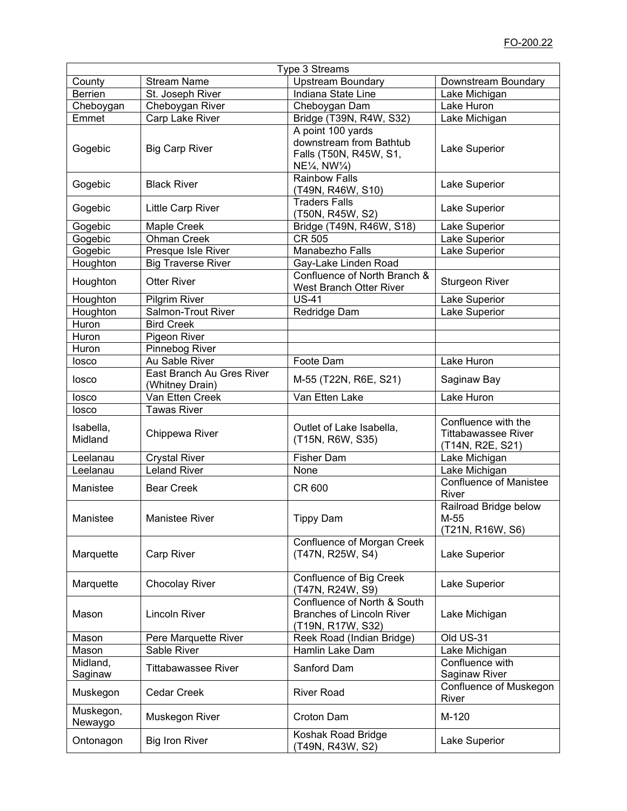|                      |                                              | Type 3 Streams                                                                                                 |                                                                       |
|----------------------|----------------------------------------------|----------------------------------------------------------------------------------------------------------------|-----------------------------------------------------------------------|
| County               | <b>Stream Name</b>                           | <b>Upstream Boundary</b>                                                                                       | Downstream Boundary                                                   |
| <b>Berrien</b>       | St. Joseph River                             | Indiana State Line                                                                                             | Lake Michigan                                                         |
| Cheboygan            | Cheboygan River                              | Cheboygan Dam                                                                                                  | Lake Huron                                                            |
| Emmet                | Carp Lake River                              | Bridge (T39N, R4W, S32)                                                                                        | Lake Michigan                                                         |
| Gogebic              | <b>Big Carp River</b>                        | A point 100 yards<br>downstream from Bathtub<br>Falls (T50N, R45W, S1,<br>$NE\frac{1}{4}$ , NW $\frac{1}{4}$ ) | Lake Superior                                                         |
| Gogebic              | <b>Black River</b>                           | <b>Rainbow Falls</b><br>(T49N, R46W, S10)                                                                      | Lake Superior                                                         |
| Gogebic              | <b>Little Carp River</b>                     | <b>Traders Falls</b><br>(T50N, R45W, S2)                                                                       | Lake Superior                                                         |
| Gogebic              | Maple Creek                                  | Bridge (T49N, R46W, S18)                                                                                       | Lake Superior                                                         |
| Gogebic              | <b>Ohman Creek</b>                           | CR 505                                                                                                         | Lake Superior                                                         |
| Gogebic              | Presque Isle River                           | Manabezho Falls                                                                                                | Lake Superior                                                         |
| Houghton             | <b>Big Traverse River</b>                    | Gay-Lake Linden Road                                                                                           |                                                                       |
| Houghton             | <b>Otter River</b>                           | Confluence of North Branch &<br>West Branch Otter River                                                        | <b>Sturgeon River</b>                                                 |
| Houghton             | <b>Pilgrim River</b>                         | <b>US-41</b>                                                                                                   | Lake Superior                                                         |
| Houghton             | Salmon-Trout River                           | Redridge Dam                                                                                                   | Lake Superior                                                         |
| Huron                | <b>Bird Creek</b>                            |                                                                                                                |                                                                       |
| Huron                | Pigeon River                                 |                                                                                                                |                                                                       |
| Huron                | Pinnebog River                               |                                                                                                                |                                                                       |
| losco                | Au Sable River                               | Foote Dam                                                                                                      | Lake Huron                                                            |
| losco                | East Branch Au Gres River<br>(Whitney Drain) | M-55 (T22N, R6E, S21)                                                                                          | Saginaw Bay                                                           |
| losco                | Van Etten Creek                              | Van Etten Lake                                                                                                 | Lake Huron                                                            |
| losco                | <b>Tawas River</b>                           |                                                                                                                |                                                                       |
| Isabella,<br>Midland | Chippewa River                               | Outlet of Lake Isabella,<br>(T15N, R6W, S35)                                                                   | Confluence with the<br><b>Tittabawassee River</b><br>(T14N, R2E, S21) |
| Leelanau             | <b>Crystal River</b>                         | Fisher Dam                                                                                                     | Lake Michigan                                                         |
| Leelanau             | <b>Leland River</b>                          | None                                                                                                           | Lake Michigan                                                         |
| Manistee             | <b>Bear Creek</b>                            | CR 600                                                                                                         | <b>Confluence of Manistee</b><br>River                                |
| Manistee             | <b>Manistee River</b>                        | <b>Tippy Dam</b>                                                                                               | Railroad Bridge below<br>M-55<br>(T21N, R16W, S6)                     |
| Marquette            | <b>Carp River</b>                            | <b>Confluence of Morgan Creek</b><br>(T47N, R25W, S4)                                                          | Lake Superior                                                         |
| Marquette            | <b>Chocolay River</b>                        | Confluence of Big Creek<br>(T47N, R24W, S9)                                                                    | Lake Superior                                                         |
| Mason                | <b>Lincoln River</b>                         | Confluence of North & South<br><b>Branches of Lincoln River</b><br>(T19N, R17W, S32)                           | Lake Michigan                                                         |
| Mason                | Pere Marquette River                         | Reek Road (Indian Bridge)                                                                                      | Old US-31                                                             |
| Mason                | Sable River                                  | Hamlin Lake Dam                                                                                                | Lake Michigan                                                         |
| Midland,<br>Saginaw  | <b>Tittabawassee River</b>                   | Sanford Dam                                                                                                    | Confluence with<br>Saginaw River                                      |
| Muskegon             | <b>Cedar Creek</b>                           | <b>River Road</b>                                                                                              | Confluence of Muskegon<br>River                                       |
| Muskegon,<br>Newaygo | Muskegon River                               | Croton Dam                                                                                                     | M-120                                                                 |
| Ontonagon            | <b>Big Iron River</b>                        | Koshak Road Bridge<br>(T49N, R43W, S2)                                                                         | Lake Superior                                                         |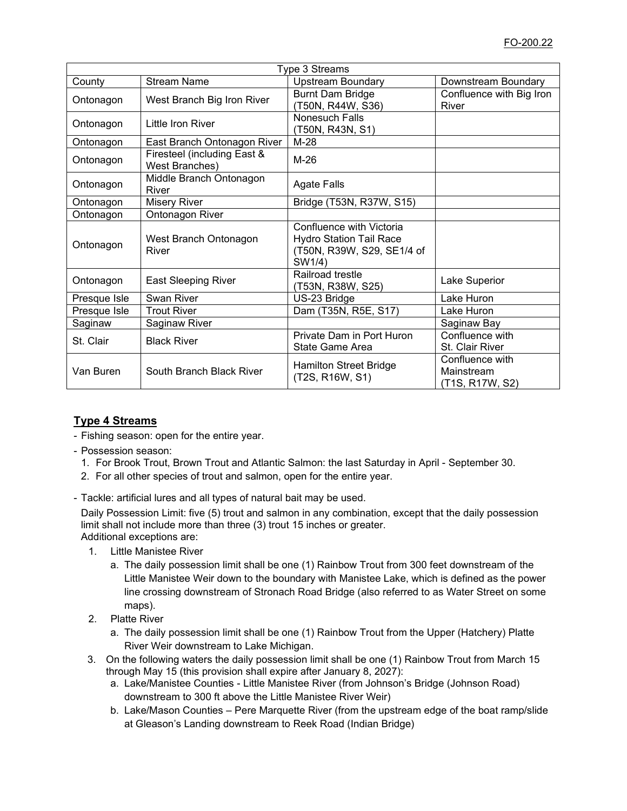| Type 3 Streams |                                                      |                                                                                                    |                                                  |
|----------------|------------------------------------------------------|----------------------------------------------------------------------------------------------------|--------------------------------------------------|
| County         | <b>Stream Name</b>                                   | <b>Upstream Boundary</b>                                                                           | Downstream Boundary                              |
| Ontonagon      | West Branch Big Iron River                           | <b>Burnt Dam Bridge</b><br>(T50N, R44W, S36)                                                       | Confluence with Big Iron<br>River                |
| Ontonagon      | Little Iron River                                    | Nonesuch Falls<br>(T50N, R43N, S1)                                                                 |                                                  |
| Ontonagon      | East Branch Ontonagon River                          | $M-28$                                                                                             |                                                  |
| Ontonagon      | Firesteel (including East &<br><b>West Branches)</b> | $M-26$                                                                                             |                                                  |
| Ontonagon      | Middle Branch Ontonagon<br>River                     | <b>Agate Falls</b>                                                                                 |                                                  |
| Ontonagon      | <b>Misery River</b>                                  | Bridge (T53N, R37W, S15)                                                                           |                                                  |
| Ontonagon      | Ontonagon River                                      |                                                                                                    |                                                  |
| Ontonagon      | West Branch Ontonagon<br>River                       | Confluence with Victoria<br><b>Hydro Station Tail Race</b><br>(T50N, R39W, S29, SE1/4 of<br>SW1/4) |                                                  |
| Ontonagon      | <b>East Sleeping River</b>                           | Railroad trestle<br>(T53N, R38W, S25)                                                              | Lake Superior                                    |
| Presque Isle   | Swan River                                           | US-23 Bridge                                                                                       | Lake Huron                                       |
| Presque Isle   | <b>Trout River</b>                                   | Dam (T35N, R5E, S17)                                                                               | Lake Huron                                       |
| Saginaw        | Saginaw River                                        |                                                                                                    | Saginaw Bay                                      |
| St. Clair      | <b>Black River</b>                                   | Private Dam in Port Huron<br>State Game Area                                                       | Confluence with<br>St. Clair River               |
| Van Buren      | South Branch Black River                             | <b>Hamilton Street Bridge</b><br>(T2S, R16W, S1)                                                   | Confluence with<br>Mainstream<br>(T1S, R17W, S2) |

# **Type 4 Streams**

- Fishing season: open for the entire year.
- Possession season:
	- 1. For Brook Trout, Brown Trout and Atlantic Salmon: the last Saturday in April September 30.
	- 2. For all other species of trout and salmon, open for the entire year.
- Tackle: artificial lures and all types of natural bait may be used.

Daily Possession Limit: five (5) trout and salmon in any combination, except that the daily possession limit shall not include more than three (3) trout 15 inches or greater. Additional exceptions are:

- 1. Little Manistee River
	- a. The daily possession limit shall be one (1) Rainbow Trout from 300 feet downstream of the Little Manistee Weir down to the boundary with Manistee Lake, which is defined as the power line crossing downstream of Stronach Road Bridge (also referred to as Water Street on some maps).
- 2. Platte River
	- a. The daily possession limit shall be one (1) Rainbow Trout from the Upper (Hatchery) Platte River Weir downstream to Lake Michigan.
- 3. On the following waters the daily possession limit shall be one (1) Rainbow Trout from March 15 through May 15 (this provision shall expire after January 8, 2027):
	- a. Lake/Manistee Counties Little Manistee River (from Johnson's Bridge (Johnson Road) downstream to 300 ft above the Little Manistee River Weir)
	- b. Lake/Mason Counties Pere Marquette River (from the upstream edge of the boat ramp/slide at Gleason's Landing downstream to Reek Road (Indian Bridge)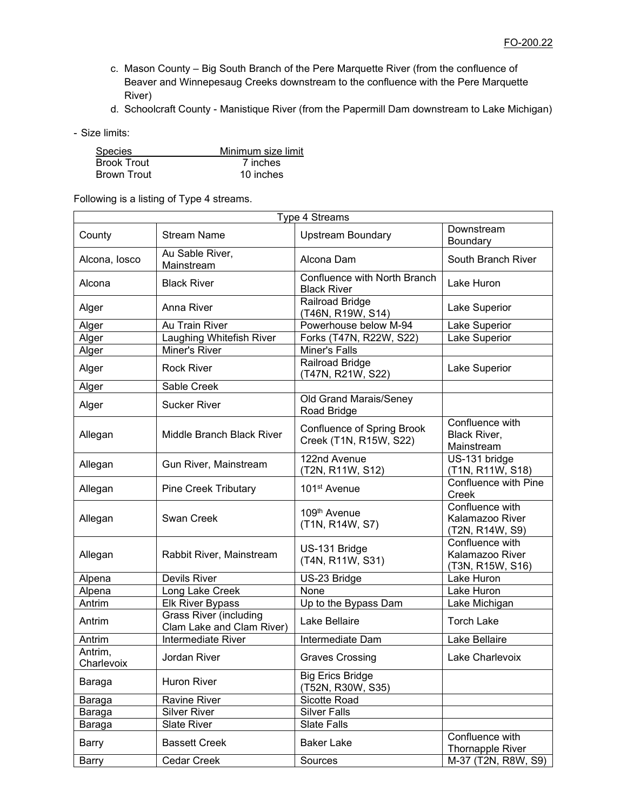- c. Mason County Big South Branch of the Pere Marquette River (from the confluence of Beaver and Winnepesaug Creeks downstream to the confluence with the Pere Marquette River)
- d. Schoolcraft County Manistique River (from the Papermill Dam downstream to Lake Michigan)
- Size limits:

| <b>Species</b>     | Minimum size limit |
|--------------------|--------------------|
| <b>Brook Trout</b> | 7 inches           |
| <b>Brown Trout</b> | 10 inches          |

Following is a listing of Type 4 streams.

| Type 4 Streams        |                                                            |                                                      |                                                        |
|-----------------------|------------------------------------------------------------|------------------------------------------------------|--------------------------------------------------------|
| County                | <b>Stream Name</b>                                         | <b>Upstream Boundary</b>                             | Downstream<br>Boundary                                 |
| Alcona, losco         | Au Sable River,<br>Mainstream                              | Alcona Dam                                           | South Branch River                                     |
| Alcona                | <b>Black River</b>                                         | Confluence with North Branch<br><b>Black River</b>   | Lake Huron                                             |
| Alger                 | Anna River                                                 | Railroad Bridge<br>(T46N, R19W, S14)                 | Lake Superior                                          |
| Alger                 | Au Train River                                             | Powerhouse below M-94                                | Lake Superior                                          |
| Alger                 | Laughing Whitefish River                                   | Forks (T47N, R22W, S22)                              | Lake Superior                                          |
| Alger                 | Miner's River                                              | Miner's Falls                                        |                                                        |
| Alger                 | <b>Rock River</b>                                          | Railroad Bridge<br>(T47N, R21W, S22)                 | Lake Superior                                          |
| Alger                 | Sable Creek                                                |                                                      |                                                        |
| Alger                 | <b>Sucker River</b>                                        | Old Grand Marais/Seney<br>Road Bridge                |                                                        |
| Allegan               | Middle Branch Black River                                  | Confluence of Spring Brook<br>Creek (T1N, R15W, S22) | Confluence with<br>Black River,<br>Mainstream          |
| Allegan               | Gun River, Mainstream                                      | 122nd Avenue<br>(T2N, R11W, S12)                     | US-131 bridge<br>(T1N, R11W, S18)                      |
| Allegan               | <b>Pine Creek Tributary</b>                                | 101 <sup>st</sup> Avenue                             | Confluence with Pine<br>Creek                          |
| Allegan               | <b>Swan Creek</b>                                          | 109 <sup>th</sup> Avenue<br>(T1N, R14W, S7)          | Confluence with<br>Kalamazoo River<br>(T2N, R14W, S9)  |
| Allegan               | Rabbit River, Mainstream                                   | US-131 Bridge<br>(T4N, R11W, S31)                    | Confluence with<br>Kalamazoo River<br>(T3N, R15W, S16) |
| Alpena                | Devils River                                               | US-23 Bridge                                         | Lake Huron                                             |
| Alpena                | Long Lake Creek                                            | None                                                 | Lake Huron                                             |
| Antrim                | <b>Elk River Bypass</b>                                    | Up to the Bypass Dam                                 | Lake Michigan                                          |
| Antrim                | <b>Grass River (including</b><br>Clam Lake and Clam River) | Lake Bellaire                                        | <b>Torch Lake</b>                                      |
| Antrim                | Intermediate River                                         | Intermediate Dam                                     | Lake Bellaire                                          |
| Antrim,<br>Charlevoix | Jordan River                                               | <b>Graves Crossing</b>                               | Lake Charlevoix                                        |
| Baraga                | <b>Huron River</b>                                         | <b>Big Erics Bridge</b><br>(T52N, R30W, S35)         |                                                        |
| Baraga                | <b>Ravine River</b>                                        | Sicotte Road                                         |                                                        |
| Baraga                | <b>Silver River</b>                                        | <b>Silver Falls</b>                                  |                                                        |
| Baraga                | <b>Slate River</b>                                         | Slate Falls                                          |                                                        |
| Barry                 | <b>Bassett Creek</b>                                       | <b>Baker Lake</b>                                    | Confluence with<br>Thornapple River                    |
| Barry                 | Cedar Creek                                                | Sources                                              | M-37 (T2N, R8W, S9)                                    |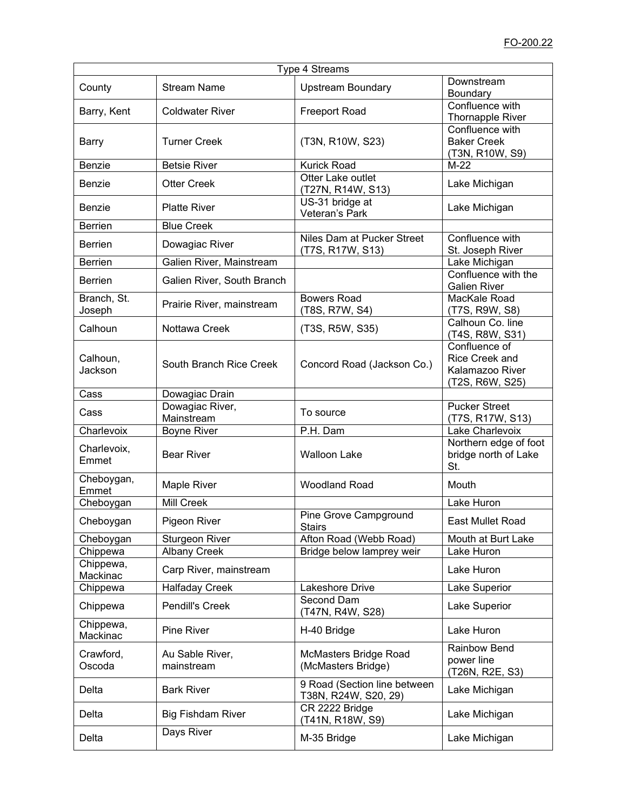| Type 4 Streams        |                               |                                                      |                                                                       |
|-----------------------|-------------------------------|------------------------------------------------------|-----------------------------------------------------------------------|
| County                | <b>Stream Name</b>            | <b>Upstream Boundary</b>                             | Downstream<br>Boundary                                                |
| Barry, Kent           | <b>Coldwater River</b>        | <b>Freeport Road</b>                                 | Confluence with<br><b>Thornapple River</b>                            |
| Barry                 | <b>Turner Creek</b>           | (T3N, R10W, S23)                                     | Confluence with<br><b>Baker Creek</b><br>(T3N, R10W, S9)              |
| Benzie                | <b>Betsie River</b>           | <b>Kurick Road</b>                                   | $M-22$                                                                |
| Benzie                | <b>Otter Creek</b>            | Otter Lake outlet<br>(T27N, R14W, S13)               | Lake Michigan                                                         |
| Benzie                | <b>Platte River</b>           | US-31 bridge at<br>Veteran's Park                    | Lake Michigan                                                         |
| <b>Berrien</b>        | <b>Blue Creek</b>             |                                                      |                                                                       |
| <b>Berrien</b>        | Dowagiac River                | Niles Dam at Pucker Street<br>(T7S, R17W, S13)       | Confluence with<br>St. Joseph River                                   |
| <b>Berrien</b>        | Galien River, Mainstream      |                                                      | Lake Michigan                                                         |
| <b>Berrien</b>        | Galien River, South Branch    |                                                      | Confluence with the<br><b>Galien River</b>                            |
| Branch, St.<br>Joseph | Prairie River, mainstream     | <b>Bowers Road</b><br>(T8S, R7W, S4)                 | MacKale Road<br>(T7S, R9W, S8)                                        |
| Calhoun               | Nottawa Creek                 | (T3S, R5W, S35)                                      | Calhoun Co. line<br>(T4S, R8W, S31)                                   |
| Calhoun,<br>Jackson   | South Branch Rice Creek       | Concord Road (Jackson Co.)                           | Confluence of<br>Rice Creek and<br>Kalamazoo River<br>(T2S, R6W, S25) |
| Cass                  | Dowagiac Drain                |                                                      |                                                                       |
| Cass                  | Dowagiac River,<br>Mainstream | To source                                            | <b>Pucker Street</b><br>(T7S, R17W, S13)                              |
| Charlevoix            | <b>Boyne River</b>            | P.H. Dam                                             | Lake Charlevoix                                                       |
| Charlevoix,<br>Emmet  | <b>Bear River</b>             | <b>Walloon Lake</b>                                  | Northern edge of foot<br>bridge north of Lake<br>St.                  |
| Cheboygan,<br>Emmet   | Maple River                   | <b>Woodland Road</b>                                 | Mouth                                                                 |
| Cheboygan             | Mill Creek                    |                                                      | Lake Huron                                                            |
| Cheboygan             | Pigeon River                  | Pine Grove Campground<br>Stairs                      | <b>East Mullet Road</b>                                               |
| Cheboygan             | Sturgeon River                | Afton Road (Webb Road)                               | Mouth at Burt Lake                                                    |
| Chippewa              | <b>Albany Creek</b>           | Bridge below lamprey weir                            | Lake Huron                                                            |
| Chippewa,<br>Mackinac | Carp River, mainstream        |                                                      | Lake Huron                                                            |
| Chippewa              | <b>Halfaday Creek</b>         | Lakeshore Drive                                      | Lake Superior                                                         |
| Chippewa              | Pendill's Creek               | Second Dam<br>(T47N, R4W, S28)                       | Lake Superior                                                         |
| Chippewa,<br>Mackinac | Pine River                    | H-40 Bridge                                          | Lake Huron                                                            |
| Crawford,<br>Oscoda   | Au Sable River,<br>mainstream | McMasters Bridge Road<br>(McMasters Bridge)          | Rainbow Bend<br>power line<br>(T26N, R2E, S3)                         |
| Delta                 | <b>Bark River</b>             | 9 Road (Section line between<br>T38N, R24W, S20, 29) | Lake Michigan                                                         |
| Delta                 | <b>Big Fishdam River</b>      | CR 2222 Bridge<br>(T41N, R18W, S9)                   | Lake Michigan                                                         |
| Delta                 | Days River                    | M-35 Bridge                                          | Lake Michigan                                                         |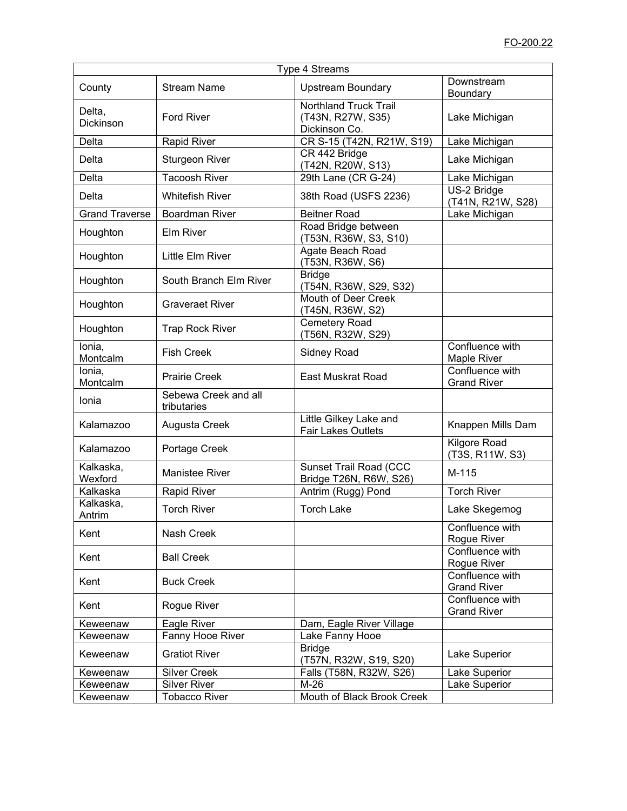| <b>Type 4 Streams</b> |                                     |                                                                    |                                       |  |  |
|-----------------------|-------------------------------------|--------------------------------------------------------------------|---------------------------------------|--|--|
| County                | <b>Stream Name</b>                  | <b>Upstream Boundary</b>                                           | Downstream<br>Boundary                |  |  |
| Delta,<br>Dickinson   | <b>Ford River</b>                   | <b>Northland Truck Trail</b><br>(T43N, R27W, S35)<br>Dickinson Co. | Lake Michigan                         |  |  |
| Delta                 | <b>Rapid River</b>                  | CR S-15 (T42N, R21W, S19)                                          | Lake Michigan                         |  |  |
| Delta                 | <b>Sturgeon River</b>               | CR 442 Bridge<br>(T42N, R20W, S13)                                 | Lake Michigan                         |  |  |
| Delta                 | <b>Tacoosh River</b>                | 29th Lane (CR G-24)                                                | Lake Michigan                         |  |  |
| Delta                 | <b>Whitefish River</b>              | 38th Road (USFS 2236)                                              | US-2 Bridge<br>(T41N, R21W, S28)      |  |  |
| <b>Grand Traverse</b> | <b>Boardman River</b>               | <b>Beitner Road</b>                                                | Lake Michigan                         |  |  |
| Houghton              | <b>Elm River</b>                    | Road Bridge between<br>(T53N, R36W, S3, S10)                       |                                       |  |  |
| Houghton              | Little Elm River                    | Agate Beach Road<br>(T53N, R36W, S6)                               |                                       |  |  |
| Houghton              | South Branch Elm River              | <b>Bridge</b><br>(T54N, R36W, S29, S32)                            |                                       |  |  |
| Houghton              | <b>Graveraet River</b>              | Mouth of Deer Creek<br>(T45N, R36W, S2)                            |                                       |  |  |
| Houghton              | <b>Trap Rock River</b>              | Cemetery Road<br>(T56N, R32W, S29)                                 |                                       |  |  |
| lonia,<br>Montcalm    | <b>Fish Creek</b>                   | <b>Sidney Road</b>                                                 | Confluence with<br>Maple River        |  |  |
| Ionia,<br>Montcalm    | <b>Prairie Creek</b>                | <b>East Muskrat Road</b>                                           | Confluence with<br><b>Grand River</b> |  |  |
| Ionia                 | Sebewa Creek and all<br>tributaries |                                                                    |                                       |  |  |
| Kalamazoo             | Augusta Creek                       | Little Gilkey Lake and<br><b>Fair Lakes Outlets</b>                | Knappen Mills Dam                     |  |  |
| Kalamazoo             | Portage Creek                       |                                                                    | Kilgore Road<br>(T3S, R11W, S3)       |  |  |
| Kalkaska,<br>Wexford  | Manistee River                      | Sunset Trail Road (CCC<br>Bridge T26N, R6W, S26)                   | M-115                                 |  |  |
| Kalkaska              | <b>Rapid River</b>                  | Antrim (Rugg) Pond                                                 | <b>Torch River</b>                    |  |  |
| Kalkaska,<br>Antrim   | <b>Torch River</b>                  | <b>Torch Lake</b>                                                  | Lake Skegemog                         |  |  |
| Kent                  | Nash Creek                          |                                                                    | Confluence with<br>Rogue River        |  |  |
| Kent                  | <b>Ball Creek</b>                   |                                                                    | Confluence with<br>Rogue River        |  |  |
| Kent                  | <b>Buck Creek</b>                   |                                                                    | Confluence with<br><b>Grand River</b> |  |  |
| Kent                  | Rogue River                         |                                                                    | Confluence with<br><b>Grand River</b> |  |  |
| Keweenaw              | Eagle River                         | Dam, Eagle River Village                                           |                                       |  |  |
| Keweenaw              | Fanny Hooe River                    | Lake Fanny Hooe                                                    |                                       |  |  |
| Keweenaw              | <b>Gratiot River</b>                | <b>Bridge</b><br>(T57N, R32W, S19, S20)                            | Lake Superior                         |  |  |
| Keweenaw              | <b>Silver Creek</b>                 | Falls (T58N, R32W, S26)                                            | Lake Superior                         |  |  |
| Keweenaw              | <b>Silver River</b>                 | $M-26$                                                             | Lake Superior                         |  |  |
| Keweenaw              | <b>Tobacco River</b>                | Mouth of Black Brook Creek                                         |                                       |  |  |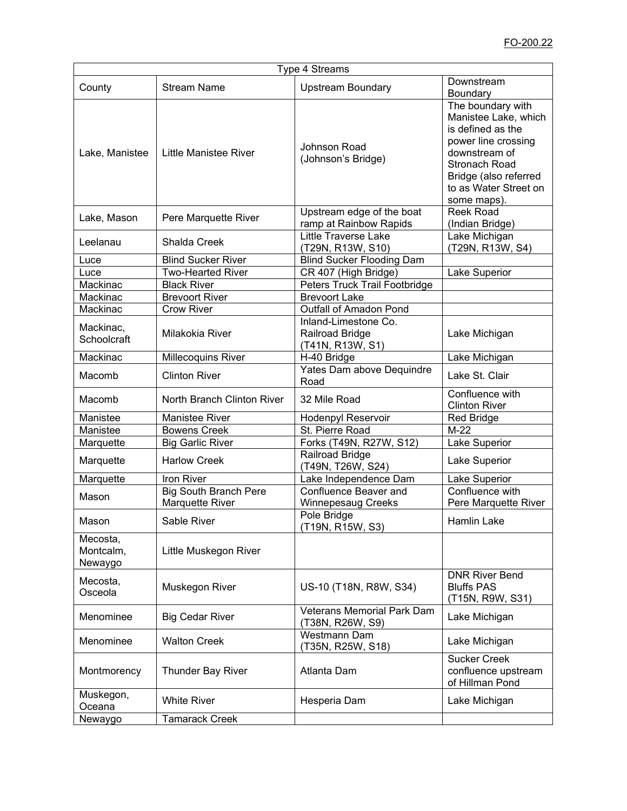| Type 4 Streams                   |                              |                                                             |                                                                                                                                                                                          |  |  |
|----------------------------------|------------------------------|-------------------------------------------------------------|------------------------------------------------------------------------------------------------------------------------------------------------------------------------------------------|--|--|
| County                           | <b>Stream Name</b>           | <b>Upstream Boundary</b>                                    | Downstream<br>Boundary                                                                                                                                                                   |  |  |
| Lake, Manistee                   | <b>Little Manistee River</b> | Johnson Road<br>(Johnson's Bridge)                          | The boundary with<br>Manistee Lake, which<br>is defined as the<br>power line crossing<br>downstream of<br>Stronach Road<br>Bridge (also referred<br>to as Water Street on<br>some maps). |  |  |
| Lake, Mason                      | Pere Marquette River         | Upstream edge of the boat<br>ramp at Rainbow Rapids         | <b>Reek Road</b><br>(Indian Bridge)                                                                                                                                                      |  |  |
| Leelanau                         | Shalda Creek                 | <b>Little Traverse Lake</b><br>(T29N, R13W, S10)            | Lake Michigan<br>(T29N, R13W, S4)                                                                                                                                                        |  |  |
| Luce                             | <b>Blind Sucker River</b>    | <b>Blind Sucker Flooding Dam</b>                            |                                                                                                                                                                                          |  |  |
| Luce                             | <b>Two-Hearted River</b>     | CR 407 (High Bridge)                                        | Lake Superior                                                                                                                                                                            |  |  |
| Mackinac                         | <b>Black River</b>           | Peters Truck Trail Footbridge                               |                                                                                                                                                                                          |  |  |
| Mackinac                         | <b>Brevoort River</b>        | <b>Brevoort Lake</b>                                        |                                                                                                                                                                                          |  |  |
| Mackinac                         | <b>Crow River</b>            | Outfall of Amadon Pond                                      |                                                                                                                                                                                          |  |  |
| Mackinac,<br>Schoolcraft         | Milakokia River              | Inland-Limestone Co.<br>Railroad Bridge<br>(T41N, R13W, S1) | Lake Michigan                                                                                                                                                                            |  |  |
| Mackinac                         | Millecoquins River           | H-40 Bridge                                                 | Lake Michigan                                                                                                                                                                            |  |  |
| Macomb                           | <b>Clinton River</b>         | Yates Dam above Dequindre<br>Road                           | Lake St. Clair                                                                                                                                                                           |  |  |
| Macomb                           | North Branch Clinton River   | 32 Mile Road                                                | Confluence with<br><b>Clinton River</b>                                                                                                                                                  |  |  |
| Manistee                         | <b>Manistee River</b>        | Hodenpyl Reservoir                                          | <b>Red Bridge</b>                                                                                                                                                                        |  |  |
| Manistee                         | <b>Bowens Creek</b>          | St. Pierre Road                                             | $M-22$                                                                                                                                                                                   |  |  |
| Marquette                        | <b>Big Garlic River</b>      | Forks (T49N, R27W, S12)                                     | Lake Superior                                                                                                                                                                            |  |  |
| Marquette                        | <b>Harlow Creek</b>          | Railroad Bridge<br>(T49N, T26W, S24)                        | Lake Superior                                                                                                                                                                            |  |  |
| Marquette                        | Iron River                   | Lake Independence Dam                                       | Lake Superior                                                                                                                                                                            |  |  |
|                                  | <b>Big South Branch Pere</b> | Confluence Beaver and                                       | Confluence with                                                                                                                                                                          |  |  |
| Mason                            | Marquette River              | <b>Winnepesaug Creeks</b>                                   | Pere Marquette River                                                                                                                                                                     |  |  |
| Mason                            | Sable River                  | Pole Bridge<br>T19N, R15W, S3)                              | Hamlin Lake                                                                                                                                                                              |  |  |
| Mecosta,<br>Montcalm,<br>Newaygo | Little Muskegon River        |                                                             |                                                                                                                                                                                          |  |  |
| Mecosta,<br>Osceola              | Muskegon River               | US-10 (T18N, R8W, S34)                                      | <b>DNR River Bend</b><br><b>Bluffs PAS</b><br>(T15N, R9W, S31)                                                                                                                           |  |  |
| Menominee                        | <b>Big Cedar River</b>       | <b>Veterans Memorial Park Dam</b><br>(T38N, R26W, S9)       | Lake Michigan                                                                                                                                                                            |  |  |
| Menominee                        | <b>Walton Creek</b>          | Westmann Dam<br>(T35N, R25W, S18)                           | Lake Michigan                                                                                                                                                                            |  |  |
| Montmorency                      | <b>Thunder Bay River</b>     | Atlanta Dam                                                 | <b>Sucker Creek</b><br>confluence upstream<br>of Hillman Pond                                                                                                                            |  |  |
| Muskegon,<br>Oceana              | <b>White River</b>           | Hesperia Dam                                                | Lake Michigan                                                                                                                                                                            |  |  |
| Newaygo                          | <b>Tamarack Creek</b>        |                                                             |                                                                                                                                                                                          |  |  |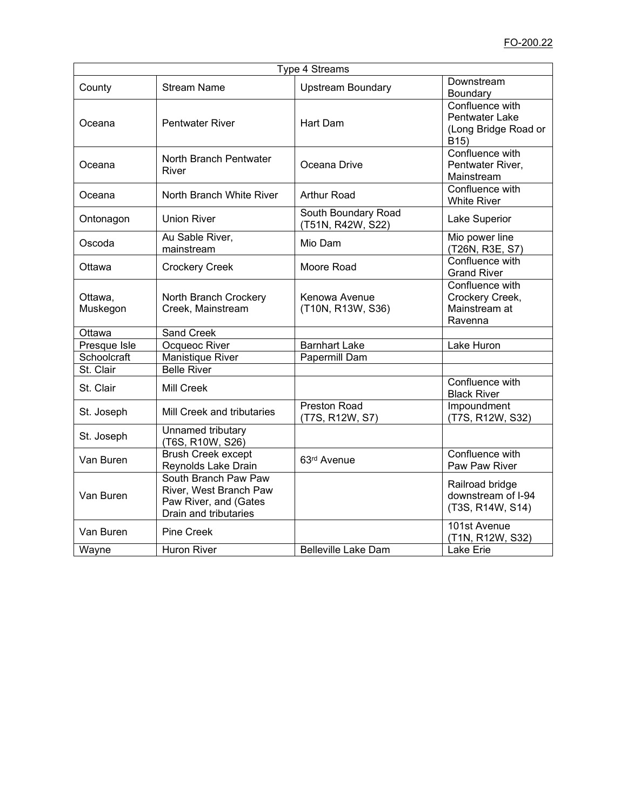| Type 4 Streams      |                                                                                                  |                                          |                                                                                       |  |  |
|---------------------|--------------------------------------------------------------------------------------------------|------------------------------------------|---------------------------------------------------------------------------------------|--|--|
| County              | <b>Stream Name</b>                                                                               | <b>Upstream Boundary</b>                 | Downstream<br>Boundary                                                                |  |  |
| Oceana              | <b>Pentwater River</b>                                                                           | <b>Hart Dam</b>                          | Confluence with<br><b>Pentwater Lake</b><br>(Long Bridge Road or<br>B <sub>15</sub> ) |  |  |
| Oceana              | North Branch Pentwater<br>River                                                                  | Oceana Drive                             | Confluence with<br>Pentwater River,<br>Mainstream                                     |  |  |
| Oceana              | North Branch White River                                                                         | Arthur Road                              | Confluence with<br><b>White River</b>                                                 |  |  |
| Ontonagon           | <b>Union River</b>                                                                               | South Boundary Road<br>(T51N, R42W, S22) | Lake Superior                                                                         |  |  |
| Oscoda              | Au Sable River,<br>mainstream                                                                    | Mio Dam                                  | Mio power line<br>(T26N, R3E, S7)                                                     |  |  |
| Ottawa              | <b>Crockery Creek</b>                                                                            | Moore Road                               | Confluence with<br><b>Grand River</b>                                                 |  |  |
| Ottawa,<br>Muskegon | North Branch Crockery<br>Creek, Mainstream                                                       | Kenowa Avenue<br>(T10N, R13W, S36)       | Confluence with<br>Crockery Creek,<br>Mainstream at<br>Ravenna                        |  |  |
| Ottawa              | <b>Sand Creek</b>                                                                                |                                          |                                                                                       |  |  |
| Presque Isle        | Ocqueoc River                                                                                    | <b>Barnhart Lake</b>                     | Lake Huron                                                                            |  |  |
| Schoolcraft         | Manistique River                                                                                 | Papermill Dam                            |                                                                                       |  |  |
| St. Clair           | <b>Belle River</b>                                                                               |                                          |                                                                                       |  |  |
| St. Clair           | <b>Mill Creek</b>                                                                                |                                          | Confluence with<br><b>Black River</b>                                                 |  |  |
| St. Joseph          | Mill Creek and tributaries                                                                       | Preston Road<br>(T7S, R12W, S7)          | Impoundment<br>(T7S, R12W, S32)                                                       |  |  |
| St. Joseph          | Unnamed tributary<br>(T6S, R10W, S26)                                                            |                                          |                                                                                       |  |  |
| Van Buren           | <b>Brush Creek except</b><br>Reynolds Lake Drain                                                 | 63rd Avenue                              | Confluence with<br>Paw Paw River                                                      |  |  |
| Van Buren           | South Branch Paw Paw<br>River, West Branch Paw<br>Paw River, and (Gates<br>Drain and tributaries |                                          | Railroad bridge<br>downstream of I-94<br>(T3S, R14W, S14)                             |  |  |
| Van Buren           | <b>Pine Creek</b>                                                                                |                                          | 101st Avenue<br>(T1N, R12W, S32)                                                      |  |  |
| Wayne               | <b>Huron River</b>                                                                               | <b>Belleville Lake Dam</b>               | Lake Erie                                                                             |  |  |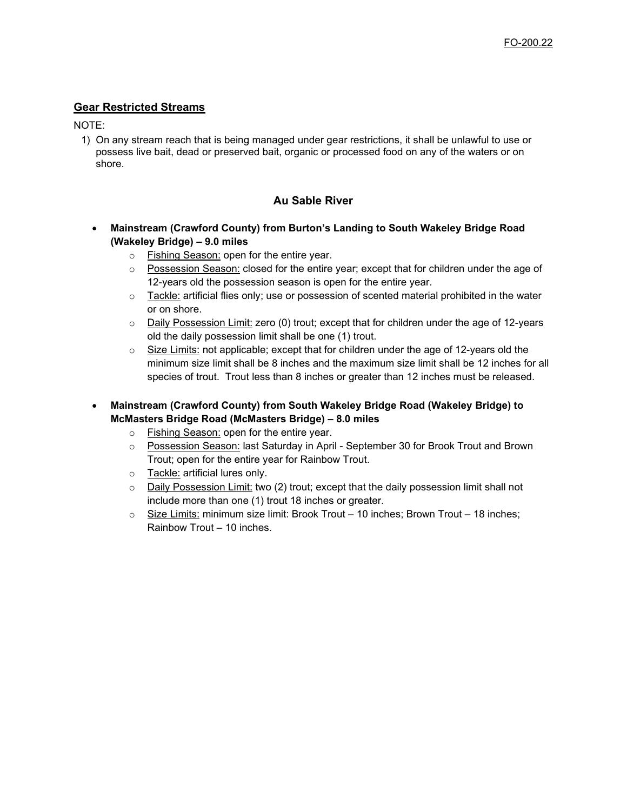# **Gear Restricted Streams**

### NOTE:

1) On any stream reach that is being managed under gear restrictions, it shall be unlawful to use or possess live bait, dead or preserved bait, organic or processed food on any of the waters or on shore.

# **Au Sable River**

- **Mainstream (Crawford County) from Burton's Landing to South Wakeley Bridge Road (Wakeley Bridge) – 9.0 miles**
	- o Fishing Season: open for the entire year.
	- $\circ$  Possession Season: closed for the entire year; except that for children under the age of 12-years old the possession season is open for the entire year.
	- $\circ$  Tackle: artificial flies only; use or possession of scented material prohibited in the water or on shore.
	- $\circ$  Daily Possession Limit: zero (0) trout; except that for children under the age of 12-years old the daily possession limit shall be one (1) trout.
	- $\circ$  Size Limits: not applicable; except that for children under the age of 12-years old the minimum size limit shall be 8 inches and the maximum size limit shall be 12 inches for all species of trout. Trout less than 8 inches or greater than 12 inches must be released.
- **Mainstream (Crawford County) from South Wakeley Bridge Road (Wakeley Bridge) to McMasters Bridge Road (McMasters Bridge) – 8.0 miles**
	- o Fishing Season: open for the entire year.
	- o Possession Season: last Saturday in April September 30 for Brook Trout and Brown Trout; open for the entire year for Rainbow Trout.
	- o Tackle: artificial lures only.
	- $\circ$  Daily Possession Limit: two (2) trout; except that the daily possession limit shall not include more than one (1) trout 18 inches or greater.
	- $\circ$  Size Limits: minimum size limit: Brook Trout 10 inches; Brown Trout 18 inches; Rainbow Trout – 10 inches.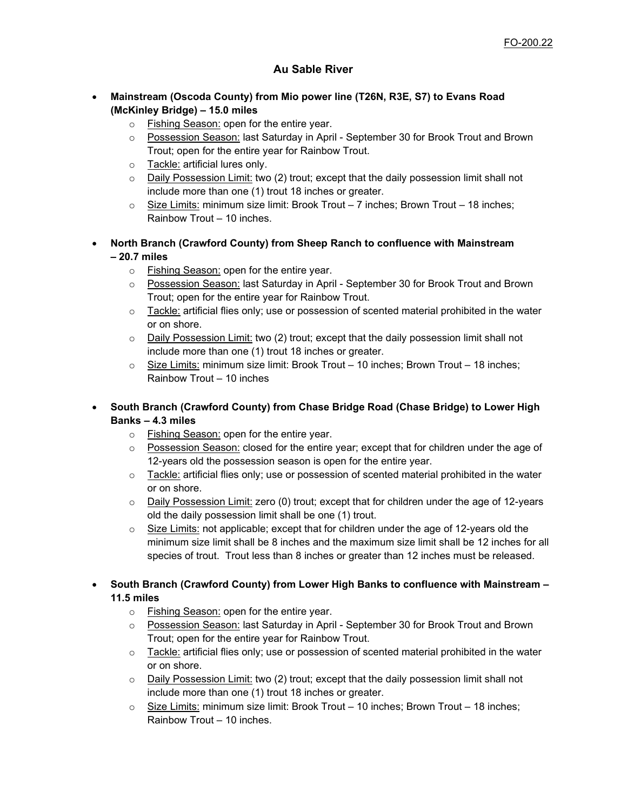# **Au Sable River**

- **Mainstream (Oscoda County) from Mio power line (T26N, R3E, S7) to Evans Road (McKinley Bridge) – 15.0 miles**
	- o Fishing Season: open for the entire year.
	- o Possession Season: last Saturday in April September 30 for Brook Trout and Brown Trout; open for the entire year for Rainbow Trout.
	- o Tackle: artificial lures only.
	- $\circ$  Daily Possession Limit: two (2) trout; except that the daily possession limit shall not include more than one (1) trout 18 inches or greater.
	- $\circ$  Size Limits: minimum size limit: Brook Trout 7 inches; Brown Trout 18 inches; Rainbow Trout – 10 inches.
- **North Branch (Crawford County) from Sheep Ranch to confluence with Mainstream – 20.7 miles**
	- o Fishing Season: open for the entire year.
	- o Possession Season: last Saturday in April September 30 for Brook Trout and Brown Trout; open for the entire year for Rainbow Trout.
	- $\circ$  Tackle: artificial flies only; use or possession of scented material prohibited in the water or on shore.
	- $\circ$  Daily Possession Limit: two (2) trout; except that the daily possession limit shall not include more than one (1) trout 18 inches or greater.
	- $\circ$  Size Limits: minimum size limit: Brook Trout 10 inches; Brown Trout 18 inches; Rainbow Trout – 10 inches
- **South Branch (Crawford County) from Chase Bridge Road (Chase Bridge) to Lower High Banks – 4.3 miles**
	- o Fishing Season: open for the entire year.
	- $\circ$  Possession Season: closed for the entire year; except that for children under the age of 12-years old the possession season is open for the entire year.
	- $\circ$  Tackle: artificial flies only; use or possession of scented material prohibited in the water or on shore.
	- o Daily Possession Limit: zero (0) trout; except that for children under the age of 12-years old the daily possession limit shall be one (1) trout.
	- $\circ$  Size Limits: not applicable; except that for children under the age of 12-years old the minimum size limit shall be 8 inches and the maximum size limit shall be 12 inches for all species of trout. Trout less than 8 inches or greater than 12 inches must be released.

• **South Branch (Crawford County) from Lower High Banks to confluence with Mainstream – 11.5 miles**

- o Fishing Season: open for the entire year.
- o Possession Season: last Saturday in April September 30 for Brook Trout and Brown Trout; open for the entire year for Rainbow Trout.
- $\circ$  Tackle: artificial flies only; use or possession of scented material prohibited in the water or on shore.
- o Daily Possession Limit: two (2) trout; except that the daily possession limit shall not include more than one (1) trout 18 inches or greater.
- $\circ$  Size Limits: minimum size limit: Brook Trout 10 inches; Brown Trout 18 inches; Rainbow Trout – 10 inches.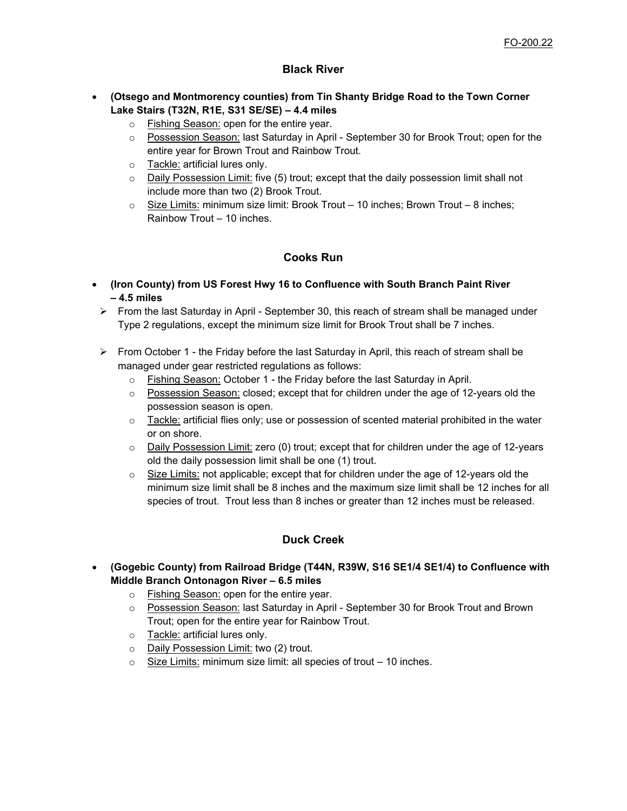# **Black River**

# • **(Otsego and Montmorency counties) from Tin Shanty Bridge Road to the Town Corner Lake Stairs (T32N, R1E, S31 SE/SE) – 4.4 miles**

- o Fishing Season: open for the entire year.
- o Possession Season: last Saturday in April September 30 for Brook Trout; open for the entire year for Brown Trout and Rainbow Trout.
- o Tackle: artificial lures only.
- $\circ$  Daily Possession Limit: five (5) trout; except that the daily possession limit shall not include more than two (2) Brook Trout.
- $\circ$  Size Limits: minimum size limit: Brook Trout 10 inches; Brown Trout 8 inches; Rainbow Trout – 10 inches.

# **Cooks Run**

- **(Iron County) from US Forest Hwy 16 to Confluence with South Branch Paint River – 4.5 miles**
- $\triangleright$  From the last Saturday in April September 30, this reach of stream shall be managed under Type 2 regulations, except the minimum size limit for Brook Trout shall be 7 inches.
- $\triangleright$  From October 1 the Friday before the last Saturday in April, this reach of stream shall be managed under gear restricted regulations as follows:
	- o Fishing Season: October 1 the Friday before the last Saturday in April.
	- $\circ$  Possession Season: closed; except that for children under the age of 12-years old the possession season is open.
	- $\circ$  Tackle: artificial flies only; use or possession of scented material prohibited in the water or on shore.
	- $\circ$  Daily Possession Limit: zero (0) trout; except that for children under the age of 12-years old the daily possession limit shall be one (1) trout.
	- $\circ$  Size Limits: not applicable; except that for children under the age of 12-years old the minimum size limit shall be 8 inches and the maximum size limit shall be 12 inches for all species of trout. Trout less than 8 inches or greater than 12 inches must be released.

# **Duck Creek**

- **(Gogebic County) from Railroad Bridge (T44N, R39W, S16 SE1/4 SE1/4) to Confluence with Middle Branch Ontonagon River – 6.5 miles**
	- o Fishing Season: open for the entire year.
	- o Possession Season: last Saturday in April September 30 for Brook Trout and Brown Trout; open for the entire year for Rainbow Trout.
	- o Tackle: artificial lures only.
	- o Daily Possession Limit: two (2) trout.
	- $\circ$  Size Limits: minimum size limit: all species of trout  $-10$  inches.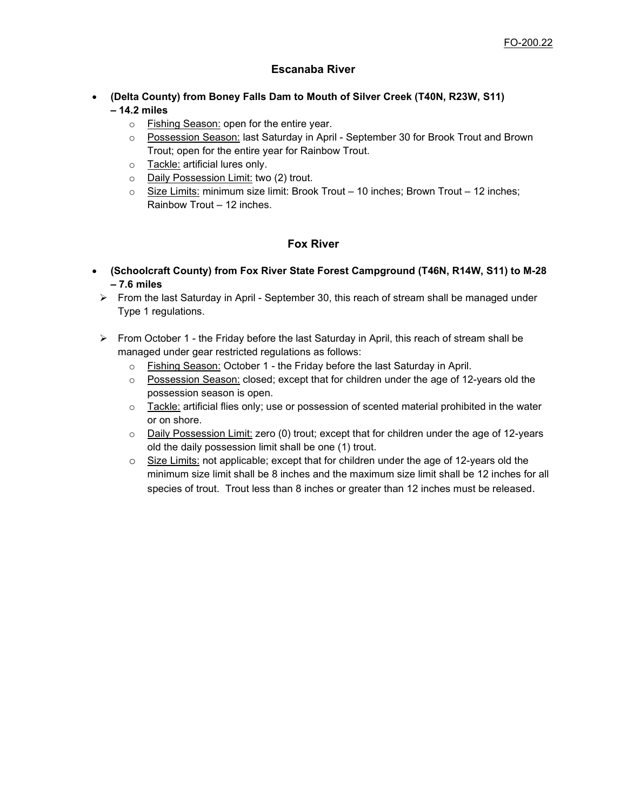# **Escanaba River**

- **(Delta County) from Boney Falls Dam to Mouth of Silver Creek (T40N, R23W, S11) – 14.2 miles**
	- o Fishing Season: open for the entire year.
	- o Possession Season: last Saturday in April September 30 for Brook Trout and Brown Trout; open for the entire year for Rainbow Trout.
	- o Tackle: artificial lures only.
	- o Daily Possession Limit: two (2) trout.
	- o Size Limits: minimum size limit: Brook Trout 10 inches; Brown Trout 12 inches; Rainbow Trout – 12 inches.

# **Fox River**

- **(Schoolcraft County) from Fox River State Forest Campground (T46N, R14W, S11) to M-28 – 7.6 miles**
- From the last Saturday in April September 30, this reach of stream shall be managed under Type 1 regulations.
- $\triangleright$  From October 1 the Friday before the last Saturday in April, this reach of stream shall be managed under gear restricted regulations as follows:
	- o Fishing Season: October 1 the Friday before the last Saturday in April.
	- $\circ$  Possession Season: closed; except that for children under the age of 12-years old the possession season is open.
	- $\circ$  Tackle: artificial flies only; use or possession of scented material prohibited in the water or on shore.
	- o Daily Possession Limit: zero (0) trout; except that for children under the age of 12-years old the daily possession limit shall be one (1) trout.
	- $\circ$  Size Limits: not applicable; except that for children under the age of 12-years old the minimum size limit shall be 8 inches and the maximum size limit shall be 12 inches for all species of trout. Trout less than 8 inches or greater than 12 inches must be released.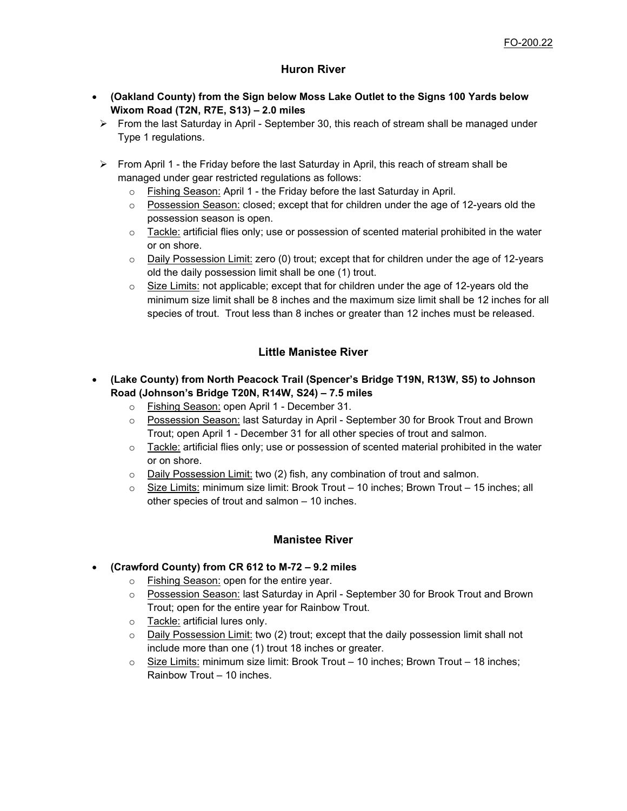# **Huron River**

- **(Oakland County) from the Sign below Moss Lake Outlet to the Signs 100 Yards below Wixom Road (T2N, R7E, S13) – 2.0 miles**
	- $\triangleright$  From the last Saturday in April September 30, this reach of stream shall be managed under Type 1 regulations.
	- $\triangleright$  From April 1 the Friday before the last Saturday in April, this reach of stream shall be managed under gear restricted regulations as follows:
		- o Fishing Season: April 1 the Friday before the last Saturday in April.
		- $\circ$  Possession Season: closed; except that for children under the age of 12-years old the possession season is open.
		- $\circ$  Tackle: artificial flies only; use or possession of scented material prohibited in the water or on shore.
		- o Daily Possession Limit: zero (0) trout; except that for children under the age of 12-years old the daily possession limit shall be one (1) trout.
		- $\circ$  Size Limits: not applicable; except that for children under the age of 12-years old the minimum size limit shall be 8 inches and the maximum size limit shall be 12 inches for all species of trout. Trout less than 8 inches or greater than 12 inches must be released.

# **Little Manistee River**

- **(Lake County) from North Peacock Trail (Spencer's Bridge T19N, R13W, S5) to Johnson Road (Johnson's Bridge T20N, R14W, S24) – 7.5 miles**
	- o Fishing Season: open April 1 December 31.
	- o Possession Season: last Saturday in April September 30 for Brook Trout and Brown Trout; open April 1 - December 31 for all other species of trout and salmon.
	- $\circ$  Tackle: artificial flies only; use or possession of scented material prohibited in the water or on shore.
	- o Daily Possession Limit: two (2) fish, any combination of trout and salmon.
	- $\circ$  Size Limits: minimum size limit: Brook Trout 10 inches; Brown Trout 15 inches; all other species of trout and salmon – 10 inches.

# **Manistee River**

## • **(Crawford County) from CR 612 to M-72 – 9.2 miles**

- o Fishing Season: open for the entire year.
- o Possession Season: last Saturday in April September 30 for Brook Trout and Brown Trout; open for the entire year for Rainbow Trout.
- o Tackle: artificial lures only.
- $\circ$  Daily Possession Limit: two (2) trout; except that the daily possession limit shall not include more than one (1) trout 18 inches or greater.
- o Size Limits: minimum size limit: Brook Trout 10 inches; Brown Trout 18 inches; Rainbow Trout – 10 inches.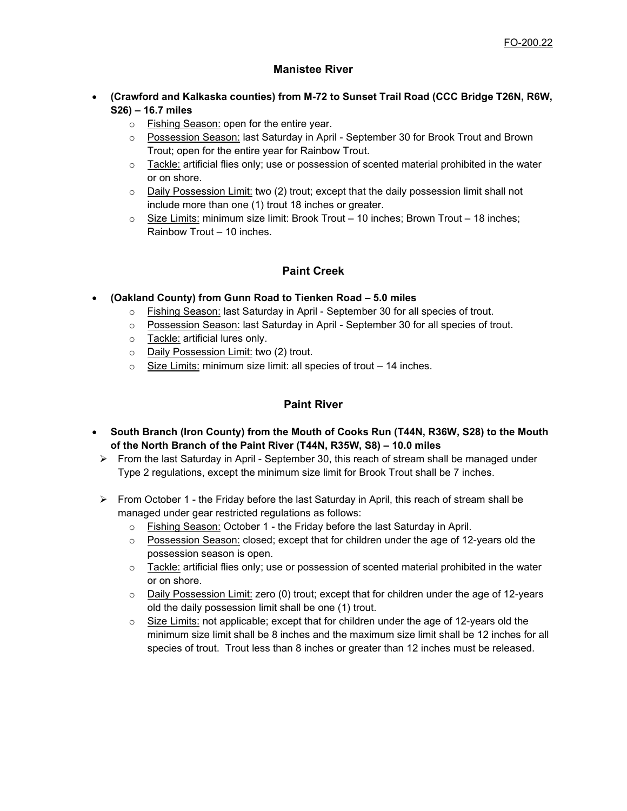# **Manistee River**

- **(Crawford and Kalkaska counties) from M-72 to Sunset Trail Road (CCC Bridge T26N, R6W, S26) – 16.7 miles**
	- o Fishing Season: open for the entire year.
	- $\circ$  Possession Season: last Saturday in April September 30 for Brook Trout and Brown Trout; open for the entire year for Rainbow Trout.
	- $\circ$  Tackle: artificial flies only; use or possession of scented material prohibited in the water or on shore.
	- o Daily Possession Limit: two (2) trout; except that the daily possession limit shall not include more than one (1) trout 18 inches or greater.
	- $\circ$  Size Limits: minimum size limit: Brook Trout 10 inches; Brown Trout 18 inches; Rainbow Trout – 10 inches.

# **Paint Creek**

- **(Oakland County) from Gunn Road to Tienken Road – 5.0 miles**
	- o Fishing Season: last Saturday in April September 30 for all species of trout.
	- o Possession Season: last Saturday in April September 30 for all species of trout.
	- o Tackle: artificial lures only.
	- o Daily Possession Limit: two (2) trout.
	- $\circ$  Size Limits: minimum size limit: all species of trout 14 inches.

# **Paint River**

- **South Branch (Iron County) from the Mouth of Cooks Run (T44N, R36W, S28) to the Mouth of the North Branch of the Paint River (T44N, R35W, S8) – 10.0 miles**
- $\triangleright$  From the last Saturday in April September 30, this reach of stream shall be managed under Type 2 regulations, except the minimum size limit for Brook Trout shall be 7 inches.
- $\triangleright$  From October 1 the Friday before the last Saturday in April, this reach of stream shall be managed under gear restricted regulations as follows:
	- $\circ$  Fishing Season: October 1 the Friday before the last Saturday in April.
	- $\circ$  Possession Season: closed; except that for children under the age of 12-years old the possession season is open.
	- $\circ$  Tackle: artificial flies only; use or possession of scented material prohibited in the water or on shore.
	- $\circ$  Daily Possession Limit: zero (0) trout; except that for children under the age of 12-years old the daily possession limit shall be one (1) trout.
	- $\circ$  Size Limits: not applicable; except that for children under the age of 12-years old the minimum size limit shall be 8 inches and the maximum size limit shall be 12 inches for all species of trout. Trout less than 8 inches or greater than 12 inches must be released.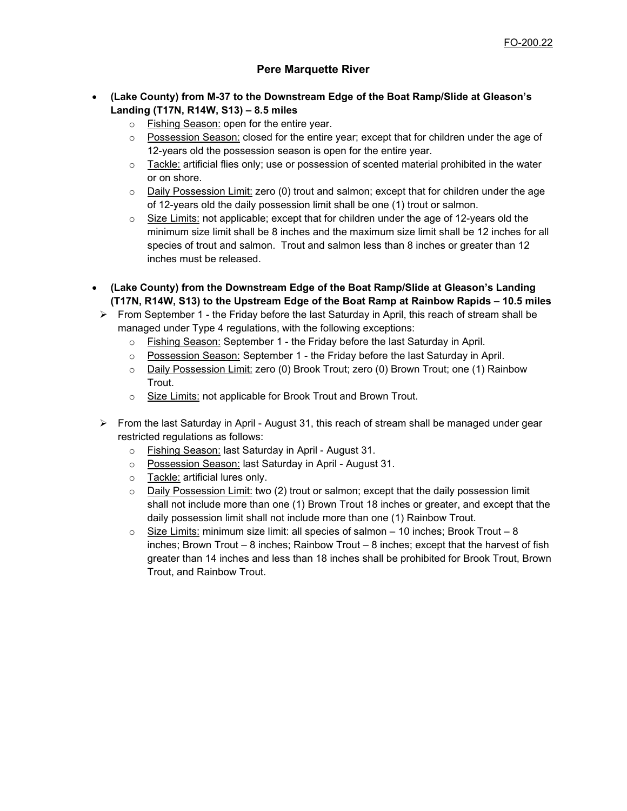# **Pere Marquette River**

- **(Lake County) from M-37 to the Downstream Edge of the Boat Ramp/Slide at Gleason's Landing (T17N, R14W, S13) – 8.5 miles**
	- o Fishing Season: open for the entire year.
	- $\circ$  Possession Season: closed for the entire year; except that for children under the age of 12-years old the possession season is open for the entire year.
	- $\circ$  Tackle: artificial flies only; use or possession of scented material prohibited in the water or on shore.
	- $\circ$  Daily Possession Limit: zero (0) trout and salmon; except that for children under the age of 12-years old the daily possession limit shall be one (1) trout or salmon.
	- $\circ$  Size Limits: not applicable; except that for children under the age of 12-years old the minimum size limit shall be 8 inches and the maximum size limit shall be 12 inches for all species of trout and salmon. Trout and salmon less than 8 inches or greater than 12 inches must be released.
- **(Lake County) from the Downstream Edge of the Boat Ramp/Slide at Gleason's Landing (T17N, R14W, S13) to the Upstream Edge of the Boat Ramp at Rainbow Rapids – 10.5 miles**
- $\triangleright$  From September 1 the Friday before the last Saturday in April, this reach of stream shall be managed under Type 4 regulations, with the following exceptions:
	- o Fishing Season: September 1 the Friday before the last Saturday in April.
	- $\circ$  Possession Season: September 1 the Friday before the last Saturday in April.
	- o Daily Possession Limit: zero (0) Brook Trout; zero (0) Brown Trout; one (1) Rainbow Trout.
	- o Size Limits: not applicable for Brook Trout and Brown Trout.
- $\triangleright$  From the last Saturday in April August 31, this reach of stream shall be managed under gear restricted regulations as follows:
	- o Fishing Season: last Saturday in April August 31.
	- o Possession Season: last Saturday in April August 31.
	- o Tackle: artificial lures only.
	- $\circ$  Daily Possession Limit: two (2) trout or salmon; except that the daily possession limit shall not include more than one (1) Brown Trout 18 inches or greater, and except that the daily possession limit shall not include more than one (1) Rainbow Trout.
	- $\circ$  Size Limits: minimum size limit: all species of salmon 10 inches; Brook Trout 8 inches; Brown Trout – 8 inches; Rainbow Trout – 8 inches; except that the harvest of fish greater than 14 inches and less than 18 inches shall be prohibited for Brook Trout, Brown Trout, and Rainbow Trout.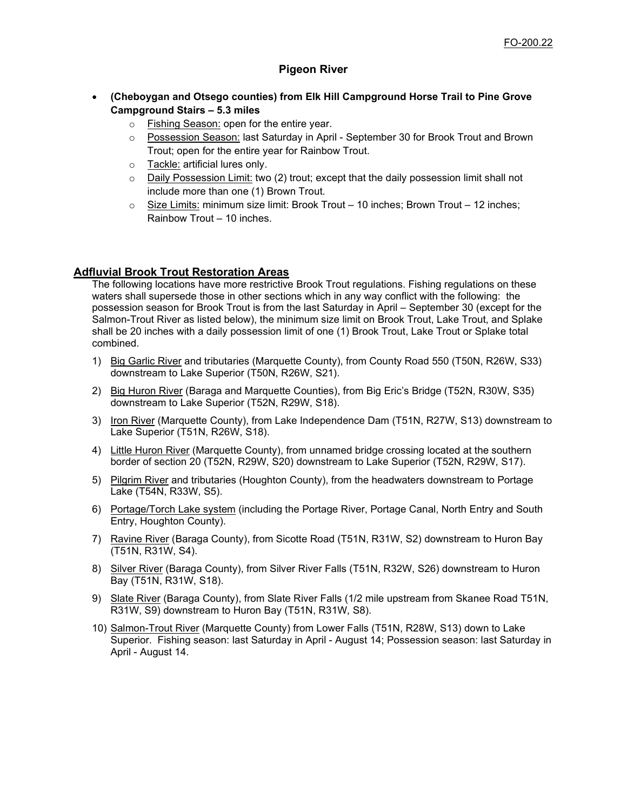# **Pigeon River**

- **(Cheboygan and Otsego counties) from Elk Hill Campground Horse Trail to Pine Grove Campground Stairs – 5.3 miles**
	- o Fishing Season: open for the entire year.
	- o Possession Season: last Saturday in April September 30 for Brook Trout and Brown Trout; open for the entire year for Rainbow Trout.
	- o Tackle: artificial lures only.
	- $\circ$  Daily Possession Limit: two (2) trout; except that the daily possession limit shall not include more than one (1) Brown Trout.
	- $\circ$  Size Limits: minimum size limit: Brook Trout 10 inches; Brown Trout 12 inches; Rainbow Trout – 10 inches.

#### **Adfluvial Brook Trout Restoration Areas**

The following locations have more restrictive Brook Trout regulations. Fishing regulations on these waters shall supersede those in other sections which in any way conflict with the following: the possession season for Brook Trout is from the last Saturday in April – September 30 (except for the Salmon-Trout River as listed below), the minimum size limit on Brook Trout, Lake Trout, and Splake shall be 20 inches with a daily possession limit of one (1) Brook Trout, Lake Trout or Splake total combined.

- 1) Big Garlic River and tributaries (Marquette County), from County Road 550 (T50N, R26W, S33) downstream to Lake Superior (T50N, R26W, S21).
- 2) Big Huron River (Baraga and Marquette Counties), from Big Eric's Bridge (T52N, R30W, S35) downstream to Lake Superior (T52N, R29W, S18).
- 3) Iron River (Marquette County), from Lake Independence Dam (T51N, R27W, S13) downstream to Lake Superior (T51N, R26W, S18).
- 4) Little Huron River (Marquette County), from unnamed bridge crossing located at the southern border of section 20 (T52N, R29W, S20) downstream to Lake Superior (T52N, R29W, S17).
- 5) Pilgrim River and tributaries (Houghton County), from the headwaters downstream to Portage Lake (T54N, R33W, S5).
- 6) Portage/Torch Lake system (including the Portage River, Portage Canal, North Entry and South Entry, Houghton County).
- 7) Ravine River (Baraga County), from Sicotte Road (T51N, R31W, S2) downstream to Huron Bay (T51N, R31W, S4).
- 8) Silver River (Baraga County), from Silver River Falls (T51N, R32W, S26) downstream to Huron Bay (T51N, R31W, S18).
- 9) Slate River (Baraga County), from Slate River Falls (1/2 mile upstream from Skanee Road T51N, R31W, S9) downstream to Huron Bay (T51N, R31W, S8).
- 10) Salmon-Trout River (Marquette County) from Lower Falls (T51N, R28W, S13) down to Lake Superior. Fishing season: last Saturday in April - August 14; Possession season: last Saturday in April - August 14.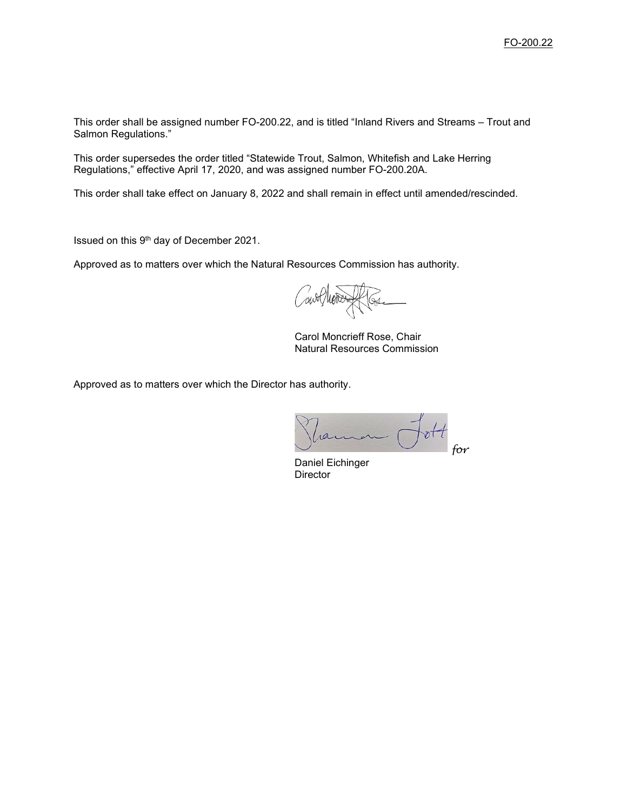This order shall be assigned number FO-200.22, and is titled "Inland Rivers and Streams – Trout and Salmon Regulations."

This order supersedes the order titled "Statewide Trout, Salmon, Whitefish and Lake Herring Regulations," effective April 17, 2020, and was assigned number FO-200.20A.

This order shall take effect on January 8, 2022 and shall remain in effect until amended/rescinded.

Issued on this 9th day of December 2021.

Approved as to matters over which the Natural Resources Commission has authority.

Carol Moncrieff Rose, Chair Natural Resources Commission

Approved as to matters over which the Director has authority.

 $ott$ *for*

Daniel Eichinger **Director**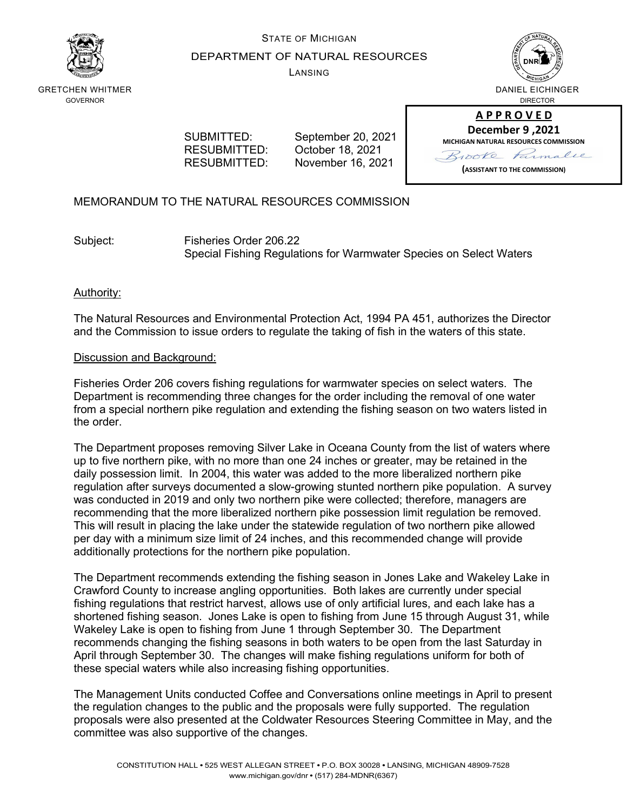

# STATE OF MICHIGAN DEPARTMENT OF NATURAL RESOURCES

LANSING



GRETCHEN WHITMER GOVERNOR

 SUBMITTED: September 20, 2021 RESUBMITTED: October 18, 2021<br>RESUBMITTED: November 16, 202 November 16, 2021

**A P P R O V E D December 9 ,2021 MICHIGAN NATURAL RESOURCES COMMISSION** Brooke Parmalee **(ASSISTANT TO THE COMMISSION)**

# MEMORANDUM TO THE NATURAL RESOURCES COMMISSION

Subject: Fisheries Order 206.22 Special Fishing Regulations for Warmwater Species on Select Waters

# Authority:

The Natural Resources and Environmental Protection Act, 1994 PA 451, authorizes the Director and the Commission to issue orders to regulate the taking of fish in the waters of this state.

# Discussion and Background:

Fisheries Order 206 covers fishing regulations for warmwater species on select waters. The Department is recommending three changes for the order including the removal of one water from a special northern pike regulation and extending the fishing season on two waters listed in the order.

The Department proposes removing Silver Lake in Oceana County from the list of waters where up to five northern pike, with no more than one 24 inches or greater, may be retained in the daily possession limit. In 2004, this water was added to the more liberalized northern pike regulation after surveys documented a slow-growing stunted northern pike population. A survey was conducted in 2019 and only two northern pike were collected; therefore, managers are recommending that the more liberalized northern pike possession limit regulation be removed. This will result in placing the lake under the statewide regulation of two northern pike allowed per day with a minimum size limit of 24 inches, and this recommended change will provide additionally protections for the northern pike population.

The Department recommends extending the fishing season in Jones Lake and Wakeley Lake in Crawford County to increase angling opportunities. Both lakes are currently under special fishing regulations that restrict harvest, allows use of only artificial lures, and each lake has a shortened fishing season. Jones Lake is open to fishing from June 15 through August 31, while Wakeley Lake is open to fishing from June 1 through September 30. The Department recommends changing the fishing seasons in both waters to be open from the last Saturday in April through September 30. The changes will make fishing regulations uniform for both of these special waters while also increasing fishing opportunities.

The Management Units conducted Coffee and Conversations online meetings in April to present the regulation changes to the public and the proposals were fully supported. The regulation proposals were also presented at the Coldwater Resources Steering Committee in May, and the committee was also supportive of the changes.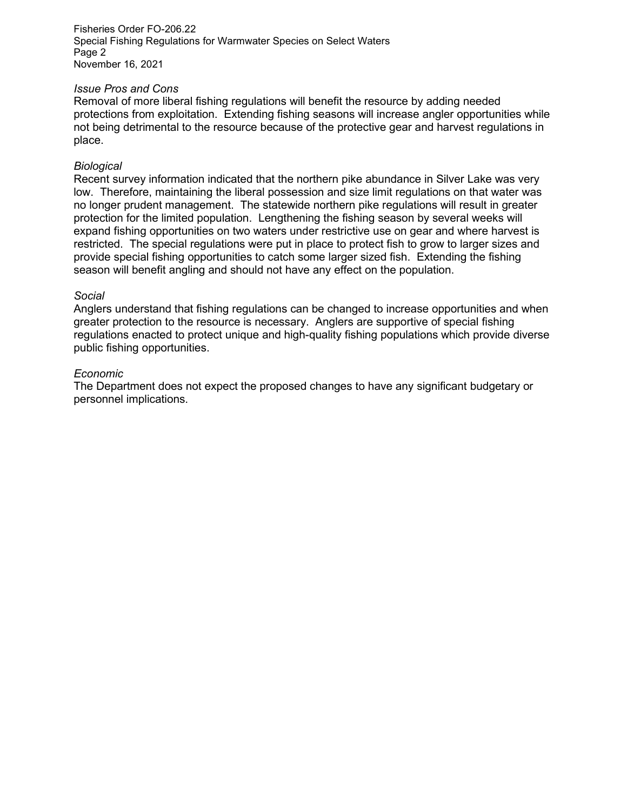Fisheries Order FO-206.22 Special Fishing Regulations for Warmwater Species on Select Waters Page 2 November 16, 2021

#### *Issue Pros and Cons*

Removal of more liberal fishing regulations will benefit the resource by adding needed protections from exploitation. Extending fishing seasons will increase angler opportunities while not being detrimental to the resource because of the protective gear and harvest regulations in place.

## *Biological*

Recent survey information indicated that the northern pike abundance in Silver Lake was very low. Therefore, maintaining the liberal possession and size limit regulations on that water was no longer prudent management. The statewide northern pike regulations will result in greater protection for the limited population. Lengthening the fishing season by several weeks will expand fishing opportunities on two waters under restrictive use on gear and where harvest is restricted. The special regulations were put in place to protect fish to grow to larger sizes and provide special fishing opportunities to catch some larger sized fish. Extending the fishing season will benefit angling and should not have any effect on the population.

#### *Social*

Anglers understand that fishing regulations can be changed to increase opportunities and when greater protection to the resource is necessary. Anglers are supportive of special fishing regulations enacted to protect unique and high-quality fishing populations which provide diverse public fishing opportunities.

#### *Economic*

The Department does not expect the proposed changes to have any significant budgetary or personnel implications.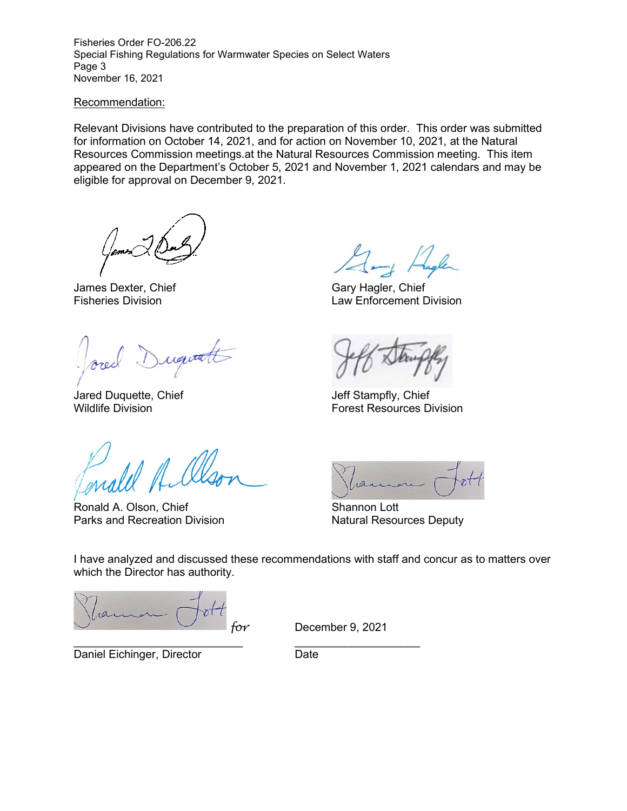Fisheries Order FO-206.22 Special Fishing Regulations for Warmwater Species on Select Waters Page 3 November 16, 2021

#### Recommendation:

Relevant Divisions have contributed to the preparation of this order. This order was submitted for information on October 14, 2021, and for action on November 10, 2021, at the Natural Resources Commission meetings.at the Natural Resources Commission meeting. This item appeared on the Department's October 5, 2021 and November 1, 2021 calendars and may be eligible for approval on December 9, 2021.

James Dexter, Chief Gary Hagler, Chief Gary Hagler, Chief Gary Hagler, Chief Gary Hagler, Chief Gary Hagler, Chief Gary Hagler, Chief Gary Hagler, Chief Gary Hagler, Chief Gary Hagler, Chief Gary Hagler, Chief Gary Hagler,

Dugitatt

Jared Duquette, Chief Jeff Stampfly, Chief

Ronald A. Olson, Chief Shannon Lott<br>
Parks and Recreation Division<br>
Natural Resources Deputy Parks and Recreation Division

Law Enforcement Division

Wildlife Division Forest Resources Division

I have analyzed and discussed these recommendations with staff and concur as to matters over which the Director has authority.

*for* December 9, 2021

Daniel Eichinger, Director **Date** 

\_\_\_\_\_\_\_\_\_\_\_\_\_\_\_\_\_\_\_\_\_\_\_\_\_\_\_ \_\_\_\_\_\_\_\_\_\_\_\_\_\_\_\_\_\_\_\_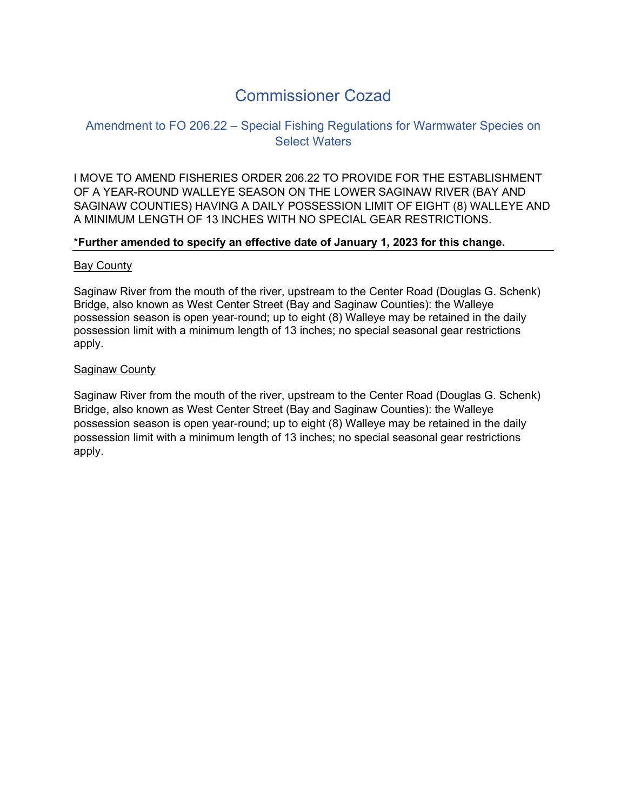# Commissioner Cozad

# Amendment to FO 206.22 – Special Fishing Regulations for Warmwater Species on Select Waters

I MOVE TO AMEND FISHERIES ORDER 206.22 TO PROVIDE FOR THE ESTABLISHMENT OF A YEAR-ROUND WALLEYE SEASON ON THE LOWER SAGINAW RIVER (BAY AND SAGINAW COUNTIES) HAVING A DAILY POSSESSION LIMIT OF EIGHT (8) WALLEYE AND A MINIMUM LENGTH OF 13 INCHES WITH NO SPECIAL GEAR RESTRICTIONS.

# \***Further amended to specify an effective date of January 1, 2023 for this change.**

# Bay County

Saginaw River from the mouth of the river, upstream to the Center Road (Douglas G. Schenk) Bridge, also known as West Center Street (Bay and Saginaw Counties): the Walleye possession season is open year-round; up to eight (8) Walleye may be retained in the daily possession limit with a minimum length of 13 inches; no special seasonal gear restrictions apply.

# Saginaw County

Saginaw River from the mouth of the river, upstream to the Center Road (Douglas G. Schenk) Bridge, also known as West Center Street (Bay and Saginaw Counties): the Walleye possession season is open year-round; up to eight (8) Walleye may be retained in the daily possession limit with a minimum length of 13 inches; no special seasonal gear restrictions apply.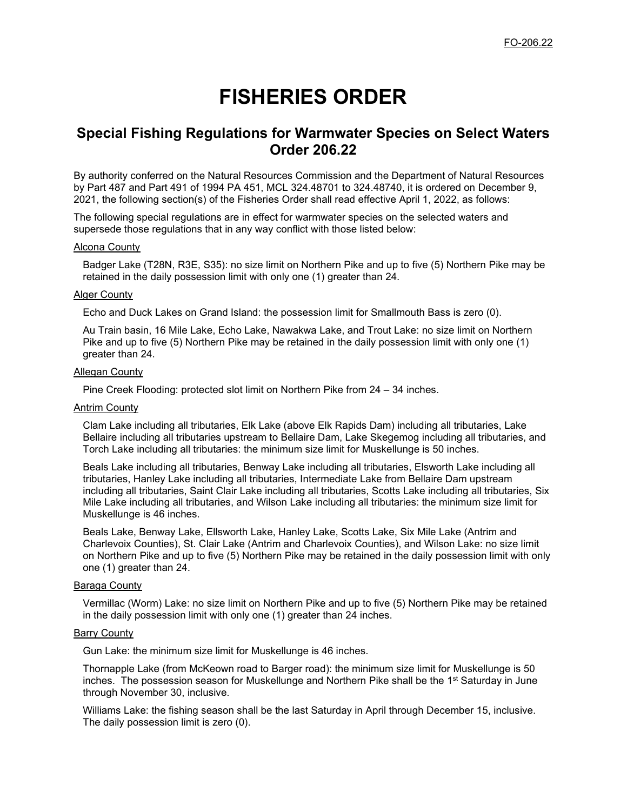# **FISHERIES ORDER**

# **Special Fishing Regulations for Warmwater Species on Select Waters Order 206.22**

By authority conferred on the Natural Resources Commission and the Department of Natural Resources by Part 487 and Part 491 of 1994 PA 451, MCL 324.48701 to 324.48740, it is ordered on December 9, 2021, the following section(s) of the Fisheries Order shall read effective April 1, 2022, as follows:

The following special regulations are in effect for warmwater species on the selected waters and supersede those regulations that in any way conflict with those listed below:

#### Alcona County

Badger Lake (T28N, R3E, S35): no size limit on Northern Pike and up to five (5) Northern Pike may be retained in the daily possession limit with only one (1) greater than 24.

#### Alger County

Echo and Duck Lakes on Grand Island: the possession limit for Smallmouth Bass is zero (0).

Au Train basin, 16 Mile Lake, Echo Lake, Nawakwa Lake, and Trout Lake: no size limit on Northern Pike and up to five (5) Northern Pike may be retained in the daily possession limit with only one (1) greater than 24.

#### **Allegan County**

Pine Creek Flooding: protected slot limit on Northern Pike from 24 – 34 inches.

#### Antrim County

Clam Lake including all tributaries, Elk Lake (above Elk Rapids Dam) including all tributaries, Lake Bellaire including all tributaries upstream to Bellaire Dam, Lake Skegemog including all tributaries, and Torch Lake including all tributaries: the minimum size limit for Muskellunge is 50 inches.

Beals Lake including all tributaries, Benway Lake including all tributaries, Elsworth Lake including all tributaries, Hanley Lake including all tributaries, Intermediate Lake from Bellaire Dam upstream including all tributaries, Saint Clair Lake including all tributaries, Scotts Lake including all tributaries, Six Mile Lake including all tributaries, and Wilson Lake including all tributaries: the minimum size limit for Muskellunge is 46 inches.

Beals Lake, Benway Lake, Ellsworth Lake, Hanley Lake, Scotts Lake, Six Mile Lake (Antrim and Charlevoix Counties), St. Clair Lake (Antrim and Charlevoix Counties), and Wilson Lake: no size limit on Northern Pike and up to five (5) Northern Pike may be retained in the daily possession limit with only one (1) greater than 24.

#### Baraga County

Vermillac (Worm) Lake: no size limit on Northern Pike and up to five (5) Northern Pike may be retained in the daily possession limit with only one (1) greater than 24 inches.

#### Barry County

Gun Lake: the minimum size limit for Muskellunge is 46 inches.

Thornapple Lake (from McKeown road to Barger road): the minimum size limit for Muskellunge is 50 inches. The possession season for Muskellunge and Northern Pike shall be the 1<sup>st</sup> Saturday in June through November 30, inclusive.

Williams Lake: the fishing season shall be the last Saturday in April through December 15, inclusive. The daily possession limit is zero (0).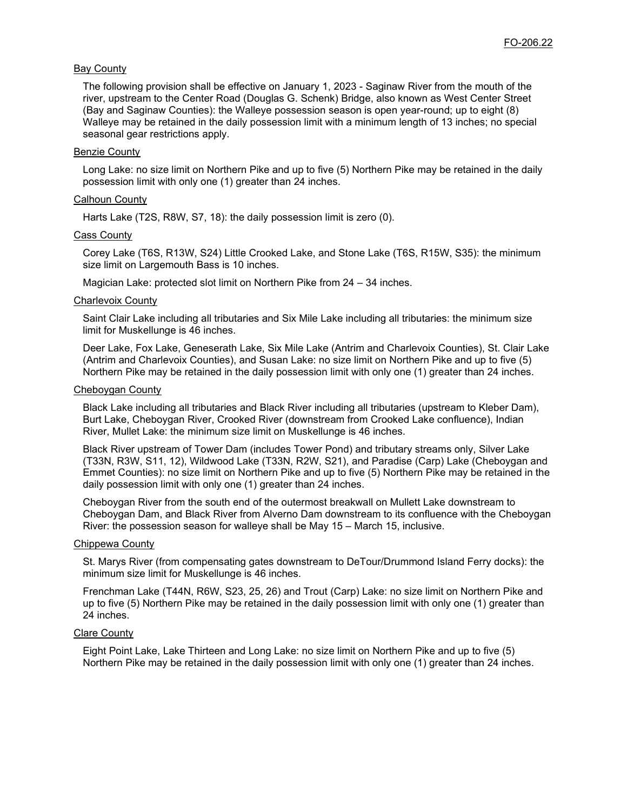#### **Bay County**

The following provision shall be effective on January 1, 2023 - Saginaw River from the mouth of the river, upstream to the Center Road (Douglas G. Schenk) Bridge, also known as West Center Street (Bay and Saginaw Counties): the Walleye possession season is open year-round; up to eight (8) Walleye may be retained in the daily possession limit with a minimum length of 13 inches; no special seasonal gear restrictions apply.

#### **Benzie County**

Long Lake: no size limit on Northern Pike and up to five (5) Northern Pike may be retained in the daily possession limit with only one (1) greater than 24 inches.

#### Calhoun County

Harts Lake (T2S, R8W, S7, 18): the daily possession limit is zero (0).

#### Cass County

Corey Lake (T6S, R13W, S24) Little Crooked Lake, and Stone Lake (T6S, R15W, S35): the minimum size limit on Largemouth Bass is 10 inches.

Magician Lake: protected slot limit on Northern Pike from 24 – 34 inches.

#### Charlevoix County

Saint Clair Lake including all tributaries and Six Mile Lake including all tributaries: the minimum size limit for Muskellunge is 46 inches.

Deer Lake, Fox Lake, Geneserath Lake, Six Mile Lake (Antrim and Charlevoix Counties), St. Clair Lake (Antrim and Charlevoix Counties), and Susan Lake: no size limit on Northern Pike and up to five (5) Northern Pike may be retained in the daily possession limit with only one (1) greater than 24 inches.

#### Cheboygan County

Black Lake including all tributaries and Black River including all tributaries (upstream to Kleber Dam), Burt Lake, Cheboygan River, Crooked River (downstream from Crooked Lake confluence), Indian River, Mullet Lake: the minimum size limit on Muskellunge is 46 inches.

Black River upstream of Tower Dam (includes Tower Pond) and tributary streams only, Silver Lake (T33N, R3W, S11, 12), Wildwood Lake (T33N, R2W, S21), and Paradise (Carp) Lake (Cheboygan and Emmet Counties): no size limit on Northern Pike and up to five (5) Northern Pike may be retained in the daily possession limit with only one (1) greater than 24 inches.

Cheboygan River from the south end of the outermost breakwall on Mullett Lake downstream to Cheboygan Dam, and Black River from Alverno Dam downstream to its confluence with the Cheboygan River: the possession season for walleye shall be May 15 – March 15, inclusive.

#### Chippewa County

St. Marys River (from compensating gates downstream to DeTour/Drummond Island Ferry docks): the minimum size limit for Muskellunge is 46 inches.

Frenchman Lake (T44N, R6W, S23, 25, 26) and Trout (Carp) Lake: no size limit on Northern Pike and up to five (5) Northern Pike may be retained in the daily possession limit with only one (1) greater than 24 inches.

#### Clare County

Eight Point Lake, Lake Thirteen and Long Lake: no size limit on Northern Pike and up to five (5) Northern Pike may be retained in the daily possession limit with only one (1) greater than 24 inches.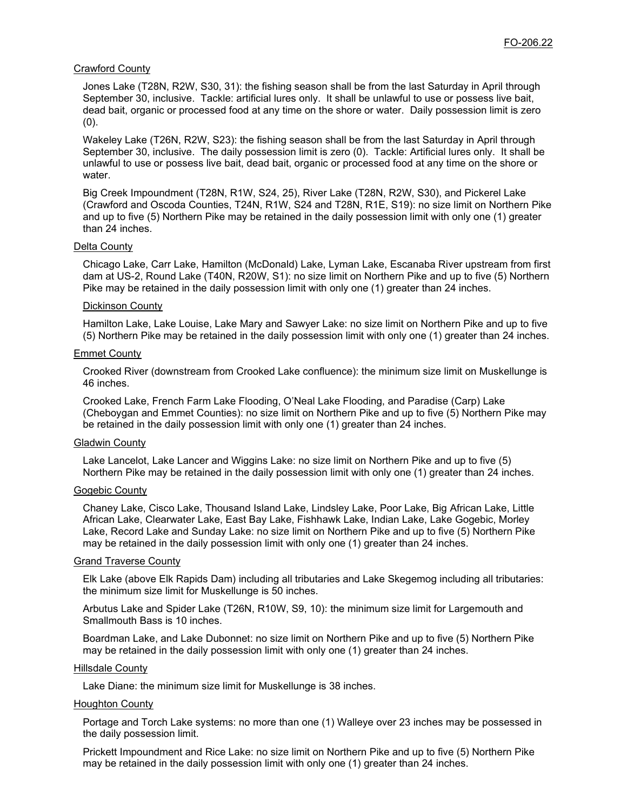#### Crawford County

Jones Lake (T28N, R2W, S30, 31): the fishing season shall be from the last Saturday in April through September 30, inclusive. Tackle: artificial lures only. It shall be unlawful to use or possess live bait, dead bait, organic or processed food at any time on the shore or water. Daily possession limit is zero (0).

Wakeley Lake (T26N, R2W, S23): the fishing season shall be from the last Saturday in April through September 30, inclusive. The daily possession limit is zero (0). Tackle: Artificial lures only. It shall be unlawful to use or possess live bait, dead bait, organic or processed food at any time on the shore or water.

Big Creek Impoundment (T28N, R1W, S24, 25), River Lake (T28N, R2W, S30), and Pickerel Lake (Crawford and Oscoda Counties, T24N, R1W, S24 and T28N, R1E, S19): no size limit on Northern Pike and up to five (5) Northern Pike may be retained in the daily possession limit with only one (1) greater than 24 inches.

#### Delta County

Chicago Lake, Carr Lake, Hamilton (McDonald) Lake, Lyman Lake, Escanaba River upstream from first dam at US-2, Round Lake (T40N, R20W, S1): no size limit on Northern Pike and up to five (5) Northern Pike may be retained in the daily possession limit with only one (1) greater than 24 inches.

#### Dickinson County

Hamilton Lake, Lake Louise, Lake Mary and Sawyer Lake: no size limit on Northern Pike and up to five (5) Northern Pike may be retained in the daily possession limit with only one (1) greater than 24 inches.

#### Emmet County

Crooked River (downstream from Crooked Lake confluence): the minimum size limit on Muskellunge is 46 inches.

Crooked Lake, French Farm Lake Flooding, O'Neal Lake Flooding, and Paradise (Carp) Lake (Cheboygan and Emmet Counties): no size limit on Northern Pike and up to five (5) Northern Pike may be retained in the daily possession limit with only one (1) greater than 24 inches.

#### Gladwin County

Lake Lancelot, Lake Lancer and Wiggins Lake: no size limit on Northern Pike and up to five (5) Northern Pike may be retained in the daily possession limit with only one (1) greater than 24 inches.

#### Gogebic County

Chaney Lake, Cisco Lake, Thousand Island Lake, Lindsley Lake, Poor Lake, Big African Lake, Little African Lake, Clearwater Lake, East Bay Lake, Fishhawk Lake, Indian Lake, Lake Gogebic, Morley Lake, Record Lake and Sunday Lake: no size limit on Northern Pike and up to five (5) Northern Pike may be retained in the daily possession limit with only one (1) greater than 24 inches.

#### Grand Traverse County

Elk Lake (above Elk Rapids Dam) including all tributaries and Lake Skegemog including all tributaries: the minimum size limit for Muskellunge is 50 inches.

Arbutus Lake and Spider Lake (T26N, R10W, S9, 10): the minimum size limit for Largemouth and Smallmouth Bass is 10 inches.

Boardman Lake, and Lake Dubonnet: no size limit on Northern Pike and up to five (5) Northern Pike may be retained in the daily possession limit with only one (1) greater than 24 inches.

#### Hillsdale County

Lake Diane: the minimum size limit for Muskellunge is 38 inches.

#### Houghton County

Portage and Torch Lake systems: no more than one (1) Walleye over 23 inches may be possessed in the daily possession limit.

Prickett Impoundment and Rice Lake: no size limit on Northern Pike and up to five (5) Northern Pike may be retained in the daily possession limit with only one (1) greater than 24 inches.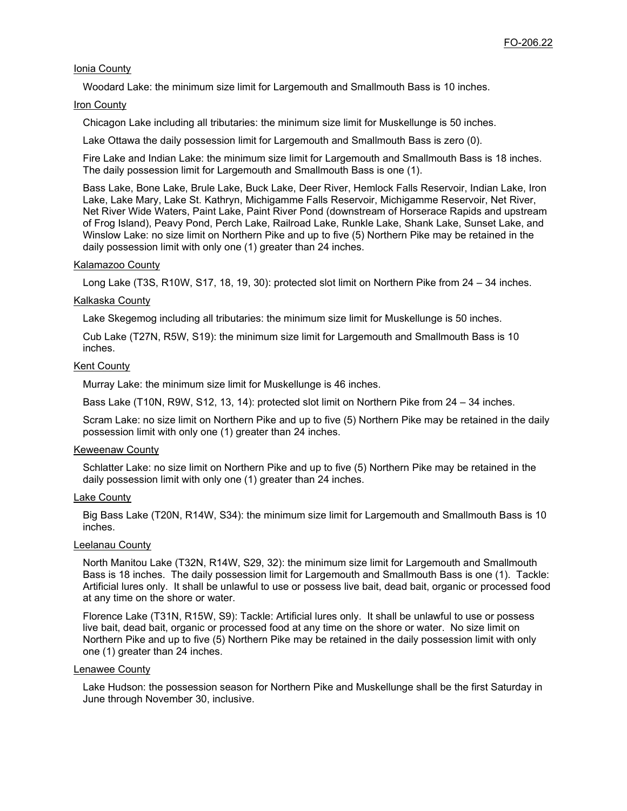#### Ionia County

Woodard Lake: the minimum size limit for Largemouth and Smallmouth Bass is 10 inches.

#### Iron County

Chicagon Lake including all tributaries: the minimum size limit for Muskellunge is 50 inches.

Lake Ottawa the daily possession limit for Largemouth and Smallmouth Bass is zero (0).

Fire Lake and Indian Lake: the minimum size limit for Largemouth and Smallmouth Bass is 18 inches. The daily possession limit for Largemouth and Smallmouth Bass is one (1).

Bass Lake, Bone Lake, Brule Lake, Buck Lake, Deer River, Hemlock Falls Reservoir, Indian Lake, Iron Lake, Lake Mary, Lake St. Kathryn, Michigamme Falls Reservoir, Michigamme Reservoir, Net River, Net River Wide Waters, Paint Lake, Paint River Pond (downstream of Horserace Rapids and upstream of Frog Island), Peavy Pond, Perch Lake, Railroad Lake, Runkle Lake, Shank Lake, Sunset Lake, and Winslow Lake: no size limit on Northern Pike and up to five (5) Northern Pike may be retained in the daily possession limit with only one (1) greater than 24 inches.

#### Kalamazoo County

Long Lake (T3S, R10W, S17, 18, 19, 30): protected slot limit on Northern Pike from 24 – 34 inches.

#### Kalkaska County

Lake Skegemog including all tributaries: the minimum size limit for Muskellunge is 50 inches.

Cub Lake (T27N, R5W, S19): the minimum size limit for Largemouth and Smallmouth Bass is 10 inches.

#### Kent County

Murray Lake: the minimum size limit for Muskellunge is 46 inches.

Bass Lake (T10N, R9W, S12, 13, 14): protected slot limit on Northern Pike from 24 – 34 inches.

Scram Lake: no size limit on Northern Pike and up to five (5) Northern Pike may be retained in the daily possession limit with only one (1) greater than 24 inches.

#### Keweenaw County

Schlatter Lake: no size limit on Northern Pike and up to five (5) Northern Pike may be retained in the daily possession limit with only one (1) greater than 24 inches.

#### Lake County

Big Bass Lake (T20N, R14W, S34): the minimum size limit for Largemouth and Smallmouth Bass is 10 inches.

#### Leelanau County

North Manitou Lake (T32N, R14W, S29, 32): the minimum size limit for Largemouth and Smallmouth Bass is 18 inches. The daily possession limit for Largemouth and Smallmouth Bass is one (1). Tackle: Artificial lures only. It shall be unlawful to use or possess live bait, dead bait, organic or processed food at any time on the shore or water.

Florence Lake (T31N, R15W, S9): Tackle: Artificial lures only. It shall be unlawful to use or possess live bait, dead bait, organic or processed food at any time on the shore or water. No size limit on Northern Pike and up to five (5) Northern Pike may be retained in the daily possession limit with only one (1) greater than 24 inches.

#### Lenawee County

Lake Hudson: the possession season for Northern Pike and Muskellunge shall be the first Saturday in June through November 30, inclusive.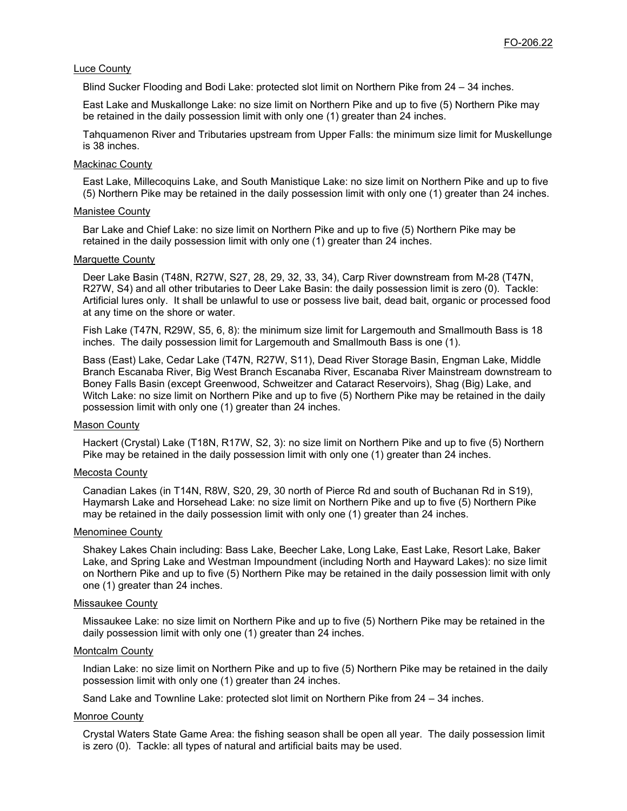#### Luce County

Blind Sucker Flooding and Bodi Lake: protected slot limit on Northern Pike from 24 – 34 inches.

East Lake and Muskallonge Lake: no size limit on Northern Pike and up to five (5) Northern Pike may be retained in the daily possession limit with only one (1) greater than 24 inches.

Tahquamenon River and Tributaries upstream from Upper Falls: the minimum size limit for Muskellunge is 38 inches.

#### Mackinac County

East Lake, Millecoquins Lake, and South Manistique Lake: no size limit on Northern Pike and up to five (5) Northern Pike may be retained in the daily possession limit with only one (1) greater than 24 inches.

#### Manistee County

Bar Lake and Chief Lake: no size limit on Northern Pike and up to five (5) Northern Pike may be retained in the daily possession limit with only one (1) greater than 24 inches.

#### **Marquette County**

Deer Lake Basin (T48N, R27W, S27, 28, 29, 32, 33, 34), Carp River downstream from M-28 (T47N, R27W, S4) and all other tributaries to Deer Lake Basin: the daily possession limit is zero (0). Tackle: Artificial lures only. It shall be unlawful to use or possess live bait, dead bait, organic or processed food at any time on the shore or water.

Fish Lake (T47N, R29W, S5, 6, 8): the minimum size limit for Largemouth and Smallmouth Bass is 18 inches. The daily possession limit for Largemouth and Smallmouth Bass is one (1).

Bass (East) Lake, Cedar Lake (T47N, R27W, S11), Dead River Storage Basin, Engman Lake, Middle Branch Escanaba River, Big West Branch Escanaba River, Escanaba River Mainstream downstream to Boney Falls Basin (except Greenwood, Schweitzer and Cataract Reservoirs), Shag (Big) Lake, and Witch Lake: no size limit on Northern Pike and up to five (5) Northern Pike may be retained in the daily possession limit with only one (1) greater than 24 inches.

#### Mason County

Hackert (Crystal) Lake (T18N, R17W, S2, 3): no size limit on Northern Pike and up to five (5) Northern Pike may be retained in the daily possession limit with only one (1) greater than 24 inches.

#### Mecosta County

Canadian Lakes (in T14N, R8W, S20, 29, 30 north of Pierce Rd and south of Buchanan Rd in S19), Haymarsh Lake and Horsehead Lake: no size limit on Northern Pike and up to five (5) Northern Pike may be retained in the daily possession limit with only one (1) greater than 24 inches.

#### Menominee County

Shakey Lakes Chain including: Bass Lake, Beecher Lake, Long Lake, East Lake, Resort Lake, Baker Lake, and Spring Lake and Westman Impoundment (including North and Hayward Lakes): no size limit on Northern Pike and up to five (5) Northern Pike may be retained in the daily possession limit with only one (1) greater than 24 inches.

#### Missaukee County

Missaukee Lake: no size limit on Northern Pike and up to five (5) Northern Pike may be retained in the daily possession limit with only one (1) greater than 24 inches.

#### Montcalm County

Indian Lake: no size limit on Northern Pike and up to five (5) Northern Pike may be retained in the daily possession limit with only one (1) greater than 24 inches.

Sand Lake and Townline Lake: protected slot limit on Northern Pike from 24 – 34 inches.

#### Monroe County

Crystal Waters State Game Area: the fishing season shall be open all year. The daily possession limit is zero (0). Tackle: all types of natural and artificial baits may be used.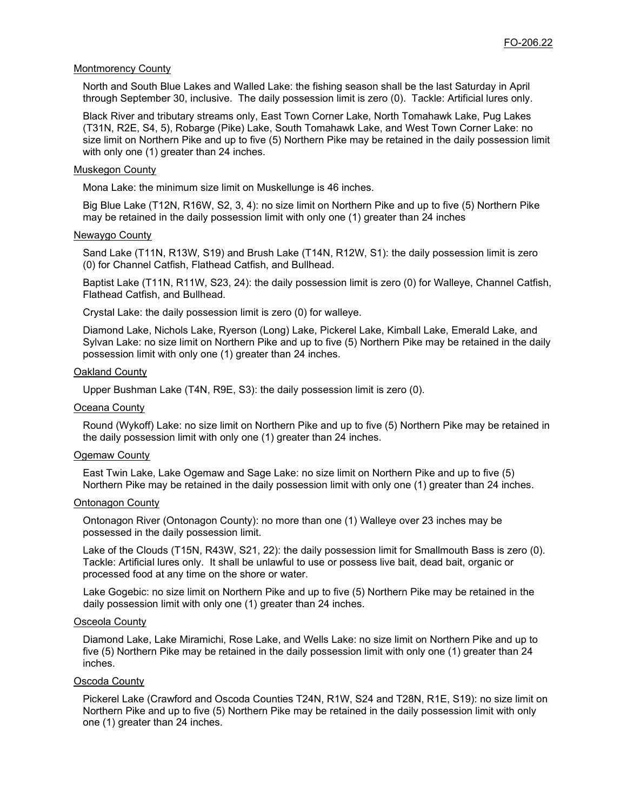#### Montmorency County

North and South Blue Lakes and Walled Lake: the fishing season shall be the last Saturday in April through September 30, inclusive. The daily possession limit is zero (0). Tackle: Artificial lures only.

Black River and tributary streams only, East Town Corner Lake, North Tomahawk Lake, Pug Lakes (T31N, R2E, S4, 5), Robarge (Pike) Lake, South Tomahawk Lake, and West Town Corner Lake: no size limit on Northern Pike and up to five (5) Northern Pike may be retained in the daily possession limit with only one (1) greater than 24 inches.

#### Muskegon County

Mona Lake: the minimum size limit on Muskellunge is 46 inches.

Big Blue Lake (T12N, R16W, S2, 3, 4): no size limit on Northern Pike and up to five (5) Northern Pike may be retained in the daily possession limit with only one (1) greater than 24 inches

#### Newaygo County

Sand Lake (T11N, R13W, S19) and Brush Lake (T14N, R12W, S1): the daily possession limit is zero (0) for Channel Catfish, Flathead Catfish, and Bullhead.

Baptist Lake (T11N, R11W, S23, 24): the daily possession limit is zero (0) for Walleye, Channel Catfish, Flathead Catfish, and Bullhead.

Crystal Lake: the daily possession limit is zero (0) for walleye.

Diamond Lake, Nichols Lake, Ryerson (Long) Lake, Pickerel Lake, Kimball Lake, Emerald Lake, and Sylvan Lake: no size limit on Northern Pike and up to five (5) Northern Pike may be retained in the daily possession limit with only one (1) greater than 24 inches.

#### **Oakland County**

Upper Bushman Lake (T4N, R9E, S3): the daily possession limit is zero (0).

#### Oceana County

Round (Wykoff) Lake: no size limit on Northern Pike and up to five (5) Northern Pike may be retained in the daily possession limit with only one (1) greater than 24 inches.

#### Ogemaw County

East Twin Lake, Lake Ogemaw and Sage Lake: no size limit on Northern Pike and up to five (5) Northern Pike may be retained in the daily possession limit with only one (1) greater than 24 inches.

#### Ontonagon County

Ontonagon River (Ontonagon County): no more than one (1) Walleye over 23 inches may be possessed in the daily possession limit.

Lake of the Clouds (T15N, R43W, S21, 22): the daily possession limit for Smallmouth Bass is zero (0). Tackle: Artificial lures only. It shall be unlawful to use or possess live bait, dead bait, organic or processed food at any time on the shore or water.

Lake Gogebic: no size limit on Northern Pike and up to five (5) Northern Pike may be retained in the daily possession limit with only one (1) greater than 24 inches.

#### Osceola County

Diamond Lake, Lake Miramichi, Rose Lake, and Wells Lake: no size limit on Northern Pike and up to five (5) Northern Pike may be retained in the daily possession limit with only one (1) greater than 24 inches.

#### Oscoda County

Pickerel Lake (Crawford and Oscoda Counties T24N, R1W, S24 and T28N, R1E, S19): no size limit on Northern Pike and up to five (5) Northern Pike may be retained in the daily possession limit with only one (1) greater than 24 inches.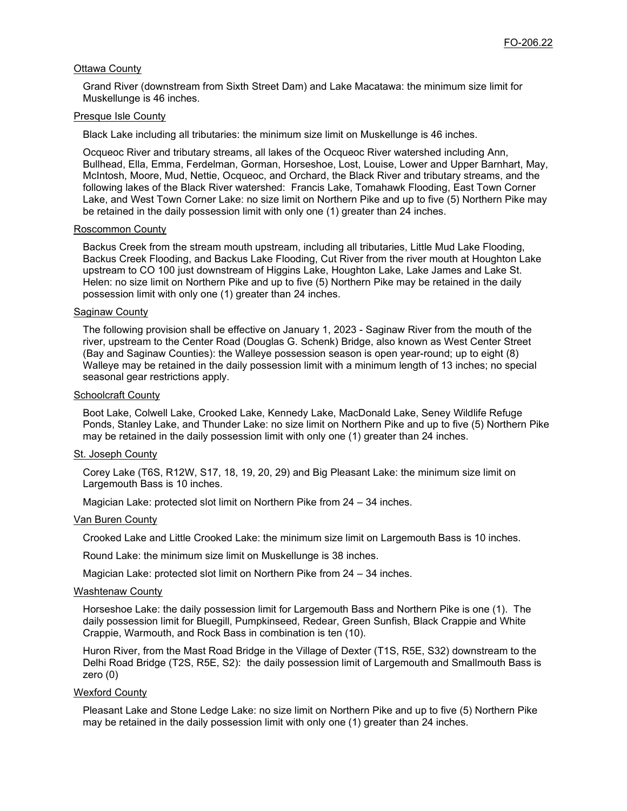#### Ottawa County

Grand River (downstream from Sixth Street Dam) and Lake Macatawa: the minimum size limit for Muskellunge is 46 inches.

#### Presque Isle County

Black Lake including all tributaries: the minimum size limit on Muskellunge is 46 inches.

Ocqueoc River and tributary streams, all lakes of the Ocqueoc River watershed including Ann, Bullhead, Ella, Emma, Ferdelman, Gorman, Horseshoe, Lost, Louise, Lower and Upper Barnhart, May, McIntosh, Moore, Mud, Nettie, Ocqueoc, and Orchard, the Black River and tributary streams, and the following lakes of the Black River watershed: Francis Lake, Tomahawk Flooding, East Town Corner Lake, and West Town Corner Lake: no size limit on Northern Pike and up to five (5) Northern Pike may be retained in the daily possession limit with only one (1) greater than 24 inches.

#### Roscommon County

Backus Creek from the stream mouth upstream, including all tributaries, Little Mud Lake Flooding, Backus Creek Flooding, and Backus Lake Flooding, Cut River from the river mouth at Houghton Lake upstream to CO 100 just downstream of Higgins Lake, Houghton Lake, Lake James and Lake St. Helen: no size limit on Northern Pike and up to five (5) Northern Pike may be retained in the daily possession limit with only one (1) greater than 24 inches.

#### Saginaw County

The following provision shall be effective on January 1, 2023 - Saginaw River from the mouth of the river, upstream to the Center Road (Douglas G. Schenk) Bridge, also known as West Center Street (Bay and Saginaw Counties): the Walleye possession season is open year-round; up to eight (8) Walleye may be retained in the daily possession limit with a minimum length of 13 inches; no special seasonal gear restrictions apply.

#### Schoolcraft County

Boot Lake, Colwell Lake, Crooked Lake, Kennedy Lake, MacDonald Lake, Seney Wildlife Refuge Ponds, Stanley Lake, and Thunder Lake: no size limit on Northern Pike and up to five (5) Northern Pike may be retained in the daily possession limit with only one (1) greater than 24 inches.

#### St. Joseph County

Corey Lake (T6S, R12W, S17, 18, 19, 20, 29) and Big Pleasant Lake: the minimum size limit on Largemouth Bass is 10 inches.

Magician Lake: protected slot limit on Northern Pike from 24 – 34 inches.

#### Van Buren County

Crooked Lake and Little Crooked Lake: the minimum size limit on Largemouth Bass is 10 inches.

Round Lake: the minimum size limit on Muskellunge is 38 inches.

Magician Lake: protected slot limit on Northern Pike from 24 – 34 inches.

#### Washtenaw County

Horseshoe Lake: the daily possession limit for Largemouth Bass and Northern Pike is one (1). The daily possession limit for Bluegill, Pumpkinseed, Redear, Green Sunfish, Black Crappie and White Crappie, Warmouth, and Rock Bass in combination is ten (10).

Huron River, from the Mast Road Bridge in the Village of Dexter (T1S, R5E, S32) downstream to the Delhi Road Bridge (T2S, R5E, S2): the daily possession limit of Largemouth and Smallmouth Bass is zero (0)

#### Wexford County

Pleasant Lake and Stone Ledge Lake: no size limit on Northern Pike and up to five (5) Northern Pike may be retained in the daily possession limit with only one (1) greater than 24 inches.